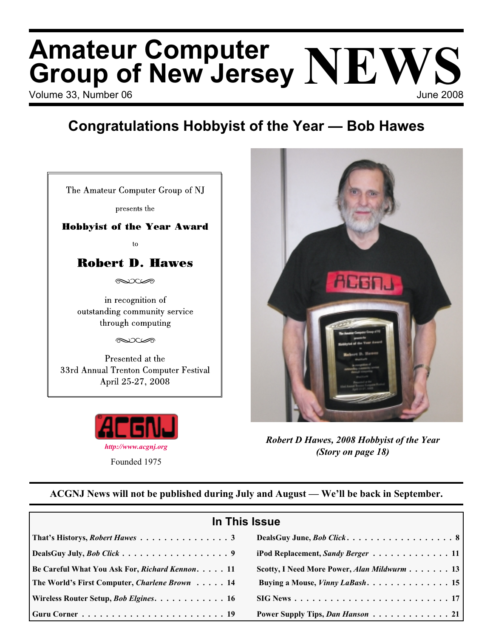# Volume 33, Number 06 June 2008 **Amateur Computer Group of New Jersey NEWS**

# **Congratulations Hobbyist of the Year — Bob Hawes**

| The Amateur Computer Group of NJ<br>presents the                                                                                                                     |  |  |  |  |
|----------------------------------------------------------------------------------------------------------------------------------------------------------------------|--|--|--|--|
| <b>Hobbyist of the Year Award</b>                                                                                                                                    |  |  |  |  |
| to                                                                                                                                                                   |  |  |  |  |
| <b>Robert D. Hawes</b>                                                                                                                                               |  |  |  |  |
| کت ت                                                                                                                                                                 |  |  |  |  |
| in recognition of<br>outstanding community service<br>through computing<br>جحب∩دیک<br>Presented at the<br>33rd Annual Trenton Computer Festival<br>April 25-27, 2008 |  |  |  |  |





*Robert D Hawes, 2008 Hobbyist of the Year (Story on page 18)*

### **ACGNJ News will not be published during July and August — We'll be back in September.**

| In This Issue                                                                       |                                                                                 |  |  |  |
|-------------------------------------------------------------------------------------|---------------------------------------------------------------------------------|--|--|--|
|                                                                                     |                                                                                 |  |  |  |
| DealsGuy July, <i>Bob Click</i> 9                                                   | iPod Replacement, Sandy Berger 11                                               |  |  |  |
| Be Careful What You Ask For, <i>Richard Kennon.</i> 11                              | Scotty, I Need More Power, Alan Mildwurm 13                                     |  |  |  |
| The World's First Computer, <i>Charlene Brown</i> 14                                | Buying a Mouse, Vinny LaBash. 15                                                |  |  |  |
| Wireless Router Setup, <i>Bob Elgines.</i> 16                                       | $SIG News \dots \dots \dots \dots \dots \dots \dots \dots \dots \dots \dots 17$ |  |  |  |
| $ $ Guru Corner $\ldots \ldots \ldots \ldots \ldots \ldots \ldots \ldots \ldots$ 19 | Power Supply Tips, Dan Hanson 21                                                |  |  |  |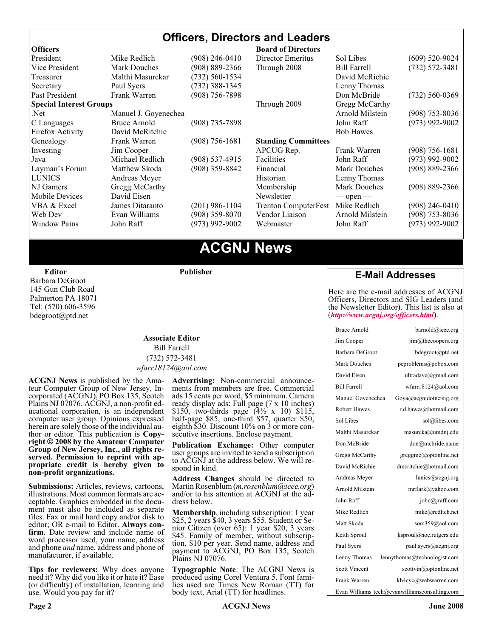### **Officers, Directors and Leaders**

| <b>Officers</b>                |                      |                    | <b>Board of Directors</b>   |                     |                    |
|--------------------------------|----------------------|--------------------|-----------------------------|---------------------|--------------------|
| President                      | Mike Redlich         | (908) 246-0410     | Director Emeritus           | Sol Libes           | $(609)$ 520-9024   |
| Vice President                 | <b>Mark Douches</b>  | $(908) 889 - 2366$ | Through 2008                | <b>Bill Farrell</b> | $(732) 572 - 3481$ |
| Treasurer                      | Malthi Masurekar     | (732) 560-1534     |                             | David McRichie      |                    |
| Secretary                      | Paul Syers           | $(732)$ 388-1345   |                             | Lenny Thomas        |                    |
| Past President                 | Frank Warren         | $(908)$ 756-7898   |                             | Don McBride         | $(732) 560 - 0369$ |
| <b>Special Interest Groups</b> |                      |                    | Through 2009                | Gregg McCarthy      |                    |
| Net.                           | Manuel J. Goyenechea |                    |                             | Arnold Milstein     | $(908)$ 753-8036   |
| C Languages                    | Bruce Arnold         | $(908)$ 735-7898   |                             | John Raff           | $(973)$ 992-9002   |
| Firefox Activity               | David McRitchie      |                    |                             | <b>Bob Hawes</b>    |                    |
| Genealogy                      | Frank Warren         | $(908)$ 756-1681   | <b>Standing Committees</b>  |                     |                    |
| Investing                      | Jim Cooper           |                    | APCUG Rep.                  | Frank Warren        | $(908)$ 756-1681   |
| Java                           | Michael Redlich      | $(908)$ 537-4915   | Facilities                  | John Raff           | $(973)$ 992-9002   |
| Layman's Forum                 | Matthew Skoda        | (908) 359-8842     | Financial                   | <b>Mark Douches</b> | $(908) 889 - 2366$ |
| <b>LUNICS</b>                  | Andreas Meyer        |                    | Historian                   | Lenny Thomas        |                    |
| NJ Gamers                      | Gregg McCarthy       |                    | Membership                  | Mark Douches        | $(908) 889 - 2366$ |
| <b>Mobile Devices</b>          | David Eisen          |                    | Newsletter                  | $-$ open $-$        |                    |
| VBA & Excel                    | James Ditaranto      | (201) 986-1104     | <b>Trenton ComputerFest</b> | Mike Redlich        | (908) 246-0410     |
| Web Dev                        | Evan Williams        | $(908)$ 359-8070   | Vendor Liaison              | Arnold Milstein     | $(908)$ 753-8036   |
| <b>Window Pains</b>            | John Raff            | $(973)$ 992-9002   | Webmaster                   | John Raff           | $(973)$ 992-9002   |
|                                |                      |                    |                             |                     |                    |

## **ACGNJ News**

**Editor**

Barbara DeGroot 145 Gun Club Road Palmerton PA 18071 Tel: (570) 606-3596 bdegroot@ptd.net

#### **Associate Editor** Bill Farrell (732) 572-3481 *wfarr18124@aol.com*

**Publisher**

**ACGNJ News** is published by the Ama- teur Computer Group of New Jersey, In- corporated (ACGNJ), PO Box 135, Scotch Plains NJ 07076. ACGNJ, a non-profit ed-<br>ucational corporation, is an independent computer user group. Opinions expressed<br>herein are solely those of the individual author or editor. This publication is **Copy-**<br>right © 2008 by the Amateur Computer<br>Group of New Jersey, Inc., all rights re-**Group of New Jersey, Inc., all rights re- served. Permission to reprint with ap- propriate credit is hereby given to non-profit organizations.**

**Submissions:** Articles, reviews, cartoons, illustrations. Most common formats are acceptable. Graphics embedded in the docu-<br>ment must also be included as separate files. Fax or mail hard copy and/or disk to editor: OR e-mail to Editor. **Always con**firm. Date review and include name of word processor used, your name, address and phone *and* name, address and phone of manufacturer, if available.

**Tips for reviewers:** Why does anyone need it? Why did you like it or hate it? Ease (or difficulty) of installation, learning and use. Would you pay for it?

**Advertising:** Non-commercial announce- ments from members are free. Commercial ads 15 cents per word, \$5 minimum. Camera ready display ads: Full page (7 x 10 inches) \$150, two-thirds page  $(4\frac{1}{2} \times 10)$  \$115, half-page \$85, one-third \$57, quarter \$50, eighth \$30. Discount 10% on 3 or more con- secutive insertions. Enclose payment.

**Publication Exchange:** Other computer user groups are invited to send a subscription to ACGNJ at the address below. We will re- spond in kind.

**Address Changes** should be directed to Martin Rosenblum (*m.rosenblum@ieee.org*) and/or to his attention at ACGNJ at the ad- dress below.

**Membership**, including subscription: 1 year \$25, 2 years \$40, 3 years \$55. Student or Senior Citizen (over 65): 1 year \$20, 3 years \$45. Family of member, without subscription, \$10 per year. Send name, address and payment to ACGNJ, PO Box 135, Scotch Plains NJ 07076.

**Typographic Note**: The ACGNJ News is produced using Corel Ventura 5. Font fami- lies used are Times New Roman (TT) for body text, Arial (TT) for headlines.

#### **E-Mail Addresses**

Here are the e-mail addresses of ACGNJ Officers, Directors and SIG Leaders (and the Newsletter Editor). This list is also at (*<http://www.acgnj.org/officers.html>*).

| <b>Bruce Arnold</b>  | barnold@ieee.org                              |
|----------------------|-----------------------------------------------|
| Jim Cooper           | $\lim$ ( $a$ ) the coopers.org                |
| Barbara DeGroot      | bdegroot@ptd.net                              |
| Mark Douches         | pcproblems@pobox.com                          |
| David Eisen          | ultradave@gmail.com                           |
| <b>Bill Farrell</b>  | wfarr18124@aol.com                            |
| Manuel Goyenechea    | Goya@acgnidotnetsig.org                       |
| <b>Robert Hawes</b>  | r.d.hawes@hotmail.com                         |
| Sol Libes            | sol@libes.com                                 |
| Malthi Masurekar     | masureka@umdnj.edu                            |
| Don McBride          | don@mcbride.name                              |
| Gregg McCarthy       | greggmc@optonline.net                         |
| David McRichie       | dmcritchie@hotmail.com                        |
| Andreas Meyer        | lunics@acgni.org                              |
| Arnold Milstein      | mrflark@yahoo.com                             |
| John Raff            | john@jraff.com                                |
| Mike Redlich         | mike@redlich.net                              |
| Matt Skoda           | som359@aol.com                                |
| Keith Sproul         | ksproul@noc.rutgers.edu                       |
| Paul Syers           | paul.syers@acgnj.org                          |
| Lenny Thomas         | lennythomas@technologist.com                  |
| <b>Scott Vincent</b> | scottvin@optonline.net                        |
| Frank Warren         | kb4cyc@webwarren.com                          |
|                      | Evan Williams tech@evanwilliamsconsulting.com |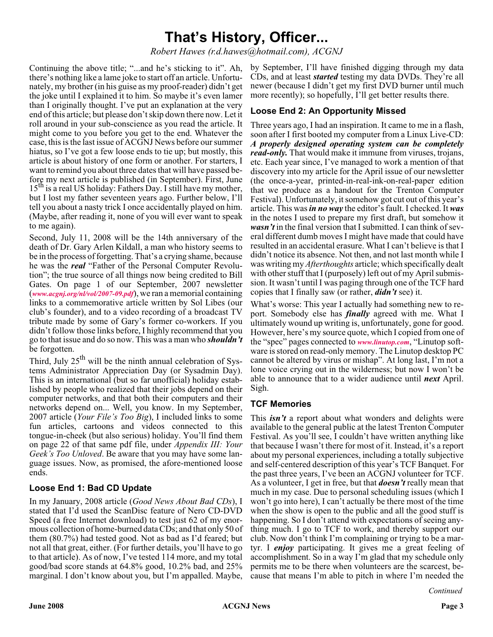# **That's History, Officer...**

*Robert Hawes (r.d.hawes@hotmail.com), ACGNJ*

Continuing the above title; "...and he's sticking to it". Ah, there's nothing like a lame joke to start off an article. Unfortunately, my brother (in his guise as my proof-reader) didn't get the joke until I explained it to him. So maybe it's even lamer than I originally thought. I've put an explanation at the very end of this article; but please don't skip down there now. Let it roll around in your sub-conscience as you read the article. It might come to you before you get to the end. Whatever the case, this is the last issue of ACGNJ News before our summer hiatus, so I've got a few loose ends to tie up; but mostly, this article is about history of one form or another. For starters, I want to remind you about three dates that will have passed before my next article is published (in September). First, June  $15<sup>th</sup>$  is a real US holiday: Fathers Day. I still have my mother, but I lost my father seventeen years ago. Further below, I'll tell you about a nasty trick I once accidentally played on him. (Maybe, after reading it, none of you will ever want to speak to me again).

Second, July 11, 2008 will be the 14th anniversary of the death of Dr. Gary Arlen Kildall, a man who history seems to be in the process of forgetting. That's a crying shame, because he was the *real* "Father of the Personal Computer Revolution"; the true source of all things now being credited to Bill Gates. On page 1 of our September, 2007 newsletter (*[www.acgnj.org/nl/vol/2007-09.pdf](http://www.acgnj.org/nl/vol/2007-09.pdf)*), we ran a memorial containing links to a commemorative article written by Sol Libes (our club's founder), and to a video recording of a broadcast TV tribute made by some of Gary's former co-workers. If you didn't follow those links before, I highly recommend that you go to that issue and do so now. This was a man who *shouldn't* be forgotten.

Third, July  $25<sup>th</sup>$  will be the ninth annual celebration of Systems Administrator Appreciation Day (or Sysadmin Day). This is an international (but so far unofficial) holiday established by people who realized that their jobs depend on their computer networks, and that both their computers and their networks depend on... Well, you know. In my September, 2007 article (*Your File's Too Big*), I included links to some fun articles, cartoons and videos connected to this tongue-in-cheek (but also serious) holiday. You'll find them on page 22 of that same pdf file, under *Appendix III: Your Geek's Too Unloved*. Be aware that you may have some language issues. Now, as promised, the afore-mentioned loose ends.

#### **Loose End 1: Bad CD Update**

In my January, 2008 article (*Good News About Bad CDs*), I stated that I'd used the ScanDisc feature of Nero CD-DVD Speed (a free Internet download) to test just 62 of my enormous collection of home-burned data CDs; and that only 50 of them (80.7%) had tested good. Not as bad as I'd feared; but not all that great, either. (For further details, you'll have to go to that article). As of now, I've tested 114 more, and my total good/bad score stands at 64.8% good, 10.2% bad, and 25% marginal. I don't know about you, but I'm appalled. Maybe,

by September, I'll have finished digging through my data CDs, and at least *started* testing my data DVDs. They're all newer (because I didn't get my first DVD burner until much more recently); so hopefully, I'll get better results there.

#### **Loose End 2: An Opportunity Missed**

Three years ago, I had an inspiration. It came to me in a flash, soon after I first booted my computer from a Linux Live-CD: *A properly designed operating system can be completely read-only.* That would make it immune from viruses, trojans, etc. Each year since, I've managed to work a mention of that discovery into my article for the April issue of our newsletter (the once-a-year, printed-in-real-ink-on-real-paper edition that we produce as a handout for the Trenton Computer Festival). Unfortunately, it somehow got cut out of this year's article. This was*in no way* the editor's fault. I checked. It *was* in the notes I used to prepare my first draft, but somehow it *wasn't* in the final version that I submitted. I can think of several different dumb moves I might have made that could have resulted in an accidental erasure. What I can't believe is that I didn't notice its absence. Not then, and not last month while I was writing my *Afterthoughts* article; which specifically dealt with other stuff that I (purposely) left out of my April submission. It wasn't until I was paging through one of the TCF hard copies that I finally saw (or rather, *didn't* see) it.

What's worse: This year I actually had something new to report. Somebody else has *finally* agreed with me. What I ultimately wound up writing is, unfortunately, gone for good. However, here's my source quote, which I copied from one of the "spec" pages connected to *[www.linutop.com](http://www.linutop.com)*, "Linutop software is stored on read-only memory. The Linutop desktop PC cannot be altered by virus or mishap". At long last, I'm not a lone voice crying out in the wilderness; but now I won't be able to announce that to a wider audience until *next* April. Sigh.

#### **TCF Memories**

This *isn't* a report about what wonders and delights were available to the general public at the latest Trenton Computer Festival. As you'll see, I couldn't have written anything like that because I wasn't there for most of it. Instead, it's a report about my personal experiences, including a totally subjective and self-centered description of this year's TCF Banquet. For the past three years, I've been an ACGNJ volunteer for TCF. As a volunteer, I get in free, but that *doesn't* really mean that much in my case. Due to personal scheduling issues (which I won't go into here), I can't actually be there most of the time when the show is open to the public and all the good stuff is happening. So I don't attend with expectations of seeing anything much. I go to TCF to work, and thereby support our club. Now don't think I'm complaining or trying to be a martyr. I *enjoy* participating. It gives me a great feeling of accomplishment. So in a way I'm glad that my schedule only permits me to be there when volunteers are the scarcest, because that means I'm able to pitch in where I'm needed the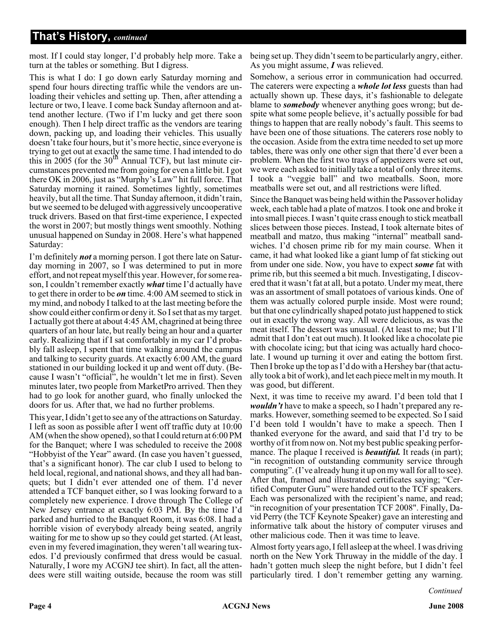most. If I could stay longer, I'd probably help more. Take a turn at the tables or something. But I digress.

This is what I do: I go down early Saturday morning and spend four hours directing traffic while the vendors are unloading their vehicles and setting up. Then, after attending a lecture or two, I leave. I come back Sunday afternoon and attend another lecture. (Two if I'm lucky and get there soon enough). Then I help direct traffic as the vendors are tearing down, packing up, and loading their vehicles. This usually doesn't take four hours, but it's more hectic, since everyone is trying to get out at exactly the same time. I had intended to do this in  $2005$  (for the  $30<sup>th</sup>$  Annual TCF), but last minute circumstances prevented me from going for even a little bit. I got there OK in 2006, just as "Murphy's Law" hit full force. That Saturday morning it rained. Sometimes lightly, sometimes heavily, but all the time. That Sunday afternoon, it didn't rain, but we seemed to be deluged with aggressively uncooperative truck drivers. Based on that first-time experience, I expected the worst in 2007; but mostly things went smoothly. Nothing unusual happened on Sunday in 2008. Here's what happened Saturday:

I'm definitely *not* a morning person. I got there late on Saturday morning in 2007, so I was determined to put in more effort, and not repeat myself this year. However, for some reason, I couldn't remember exactly *what* time I'd actually have to get there in order to be *on* time. 4:00 AM seemed to stick in my mind, and nobody I talked to at the last meeting before the show could either confirm or deny it. So I set that as my target. I actually got there at about 4:45 AM, chagrined at being three quarters of an hour late, but really being an hour and a quarter early. Realizing that if I sat comfortably in my car I'd probably fall asleep, I spent that time walking around the campus and talking to security guards. At exactly 6:00 AM, the guard stationed in our building locked it up and went off duty. (Because I wasn't "official", he wouldn't let me in first). Seven minutes later, two people from MarketPro arrived. Then they had to go look for another guard, who finally unlocked the doors for us. After that, we had no further problems.

This year, I didn't get to see any of the attractions on Saturday. I left as soon as possible after I went off traffic duty at 10:00 AM (when the show opened), so that I could return at 6:00 PM for the Banquet; where I was scheduled to receive the 2008 "Hobbyist of the Year" award. (In case you haven't guessed, that's a significant honor). The car club I used to belong to held local, regional, and national shows, and they all had banquets; but I didn't ever attended one of them. I'd never attended a TCF banquet either, so I was looking forward to a completely new experience. I drove through The College of New Jersey entrance at exactly 6:03 PM. By the time I'd parked and hurried to the Banquet Room, it was 6:08. I had a horrible vision of everybody already being seated, angrily waiting for me to show up so they could get started. (At least, even in my fevered imagination, they weren't all wearing tuxedos. I'd previously confirmed that dress would be casual. Naturally, I wore my ACGNJ tee shirt). In fact, all the attendees were still waiting outside, because the room was still

being set up. They didn't seem to be particularly angry, either. As you might assume, *I* was relieved.

Somehow, a serious error in communication had occurred. The caterers were expecting a *whole lot less* guests than had actually shown up. These days, it's fashionable to delegate blame to *somebody* whenever anything goes wrong; but despite what some people believe, it's actually possible for bad things to happen that are really nobody's fault. This seems to have been one of those situations. The caterers rose nobly to the occasion. Aside from the extra time needed to set up more tables, there was only one other sign that there'd ever been a problem. When the first two trays of appetizers were set out, we were each asked to initially take a total of only three items. I took a "veggie ball" and two meatballs. Soon, more meatballs were set out, and all restrictions were lifted.

Since the Banquet was being held within the Passover holiday week, each table had a plate of matzos. I took one and broke it into small pieces. I wasn't quite crass enough to stick meatball slices between those pieces. Instead, I took alternate bites of meatball and matzo, thus making "internal" meatball sandwiches. I'd chosen prime rib for my main course. When it came, it had what looked like a giant lump of fat sticking out from under one side. Now, you have to expect *some* fat with prime rib, but this seemed a bit much. Investigating, I discovered that it wasn't fat at all, but a potato. Under my meat, there was an assortment of small potatoes of various kinds. One of them was actually colored purple inside. Most were round; but that one cylindrically shaped potato just happened to stick out in exactly the wrong way. All were delicious, as was the meat itself. The dessert was unusual. (At least to me; but I'll admit that I don't eat out much). It looked like a chocolate pie with chocolate icing; but that icing was actually hard chocolate. I wound up turning it over and eating the bottom first. Then I broke up the top as I'd do with a Hershey bar (that actually took a bit of work), and let each piece melt in my mouth. It was good, but different.

Next, it was time to receive my award. I'd been told that I *wouldn't* have to make a speech, so I hadn't prepared any remarks. However, something seemed to be expected. So I said I'd been told I wouldn't have to make a speech. Then I thanked everyone for the award, and said that I'd try to be worthy of it from now on. Not my best public speaking performance. The plaque I received is *beautiful*. It reads (in part); "in recognition of outstanding community service through computing". (I've already hung it up on my wall for all to see). After that, framed and illustrated certificates saying; "Certified Computer Guru" were handed out to the TCF speakers. Each was personalized with the recipient's name, and read; "in recognition of your presentation TCF 2008". Finally, David Perry (the TCF Keynote Speaker) gave an interesting and informative talk about the history of computer viruses and other malicious code. Then it was time to leave.

Almost forty years ago, I fell asleep at the wheel. I was driving north on the New York Thruway in the middle of the day. I hadn't gotten much sleep the night before, but I didn't feel particularly tired. I don't remember getting any warning.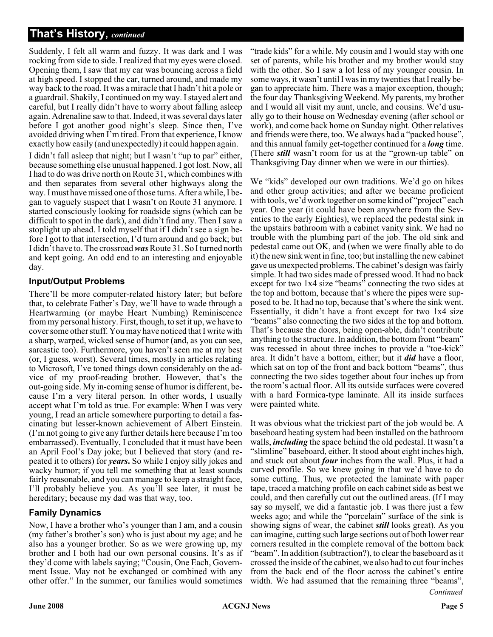Suddenly, I felt all warm and fuzzy. It was dark and I was rocking from side to side. I realized that my eyes were closed. Opening them, I saw that my car was bouncing across a field at high speed. I stopped the car, turned around, and made my way back to the road. It was a miracle that I hadn't hit a pole or a guardrail. Shakily, I continued on my way. I stayed alert and careful, but I really didn't have to worry about falling asleep again. Adrenaline saw to that. Indeed, it was several days later before I got another good night's sleep. Since then, I've avoided driving when I'm tired. From that experience, I know exactly how easily (and unexpectedly) it could happen again.

I didn't fall asleep that night; but I wasn't "up to par" either, because something else unusual happened. I got lost. Now, all I had to do was drive north on Route 31, which combines with and then separates from several other highways along the way. I must have missed one of those turns. After a while, I began to vaguely suspect that I wasn't on Route 31 anymore. I started consciously looking for roadside signs (which can be difficult to spot in the dark), and didn't find any. Then I saw a stoplight up ahead. I told myself that if I didn't see a sign before I got to that intersection, I'd turn around and go back; but I didn't have to. The crossroad*was*Route 31. So I turned north and kept going. An odd end to an interesting and enjoyable day.

#### **Input/Output Problems**

There'll be more computer-related history later; but before that, to celebrate Father's Day, we'll have to wade through a Heartwarming (or maybe Heart Numbing) Reminiscence from my personal history. First, though, to set it up, we have to cover some other stuff. You may have noticed that I write with a sharp, warped, wicked sense of humor (and, as you can see, sarcastic too). Furthermore, you haven't seen me at my best (or, I guess, worst). Several times, mostly in articles relating to Microsoft, I've toned things down considerably on the advice of my proof-reading brother. However, that's the out-going side. My in-coming sense of humor is different, because I'm a very literal person. In other words, I usually accept what I'm told as true. For example: When I was very young, I read an article somewhere purporting to detail a fascinating but lesser-known achievement of Albert Einstein. (I'm not going to give any further details here because I'm too embarrassed). Eventually, I concluded that it must have been an April Fool's Day joke; but I believed that story (and repeated it to others) for *years***.** So while I enjoy silly jokes and wacky humor; if you tell me something that at least sounds fairly reasonable, and you can manage to keep a straight face, I'll probably believe you. As you'll see later, it must be hereditary; because my dad was that way, too.

#### **Family Dynamics**

Now, I have a brother who's younger than I am, and a cousin (my father's brother's son) who is just about my age; and he also has a younger brother. So as we were growing up, my brother and I both had our own personal cousins. It's as if they'd come with labels saying; "Cousin, One Each, Government Issue. May not be exchanged or combined with any other offer." In the summer, our families would sometimes

"trade kids" for a while. My cousin and I would stay with one set of parents, while his brother and my brother would stay with the other. So I saw a lot less of my younger cousin. In some ways, it wasn't until I was in my twenties that I really began to appreciate him. There was a major exception, though; the four day Thanksgiving Weekend. My parents, my brother and I would all visit my aunt, uncle, and cousins. We'd usually go to their house on Wednesday evening (after school or work), and come back home on Sunday night. Other relatives and friends were there, too. We always had a "packed house", and this annual family get-together continued for a *long* time. (There *still* wasn't room for us at the "grown-up table" on Thanksgiving Day dinner when we were in our thirties).

We "kids" developed our own traditions. We'd go on hikes and other group activities; and after we became proficient with tools, we'd work together on some kind of "project" each year. One year (it could have been anywhere from the Seventies to the early Eighties), we replaced the pedestal sink in the upstairs bathroom with a cabinet vanity sink. We had no trouble with the plumbing part of the job. The old sink and pedestal came out OK, and (when we were finally able to do it) the new sink went in fine, too; but installing the new cabinet gave us unexpected problems. The cabinet's design was fairly simple. It had two sides made of pressed wood. It had no back except for two 1x4 size "beams" connecting the two sides at the top and bottom, because that's where the pipes were supposed to be. It had no top, because that's where the sink went. Essentially, it didn't have a front except for two 1x4 size "beams" also connecting the two sides at the top and bottom. That's because the doors, being open-able, didn't contribute anything to the structure. In addition, the bottom front "beam" was recessed in about three inches to provide a "toe-kick" area. It didn't have a bottom, either; but it *did* have a floor, which sat on top of the front and back bottom "beams", thus connecting the two sides together about four inches up from the room's actual floor. All its outside surfaces were covered with a hard Formica-type laminate. All its inside surfaces were painted white.

*Continued* It was obvious what the trickiest part of the job would be. A baseboard heating system had been installed on the bathroom walls, *including* the space behind the old pedestal. It wasn't a "slimline" baseboard, either. It stood about eight inches high, and stuck out about *four* inches from the wall. Plus, it had a curved profile. So we knew going in that we'd have to do some cutting. Thus, we protected the laminate with paper tape, traced a matching profile on each cabinet side as best we could, and then carefully cut out the outlined areas. (If I may say so myself, we did a fantastic job. I was there just a few weeks ago; and while the "porcelain" surface of the sink is showing signs of wear, the cabinet *still* looks great). As you can imagine, cutting such large sections out of both lower rear corners resulted in the complete removal of the bottom back "beam". In addition (subtraction?), to clear the baseboard as it crossed the inside of the cabinet, we also had to cut four inches from the back end of the floor across the cabinet's entire width. We had assumed that the remaining three "beams",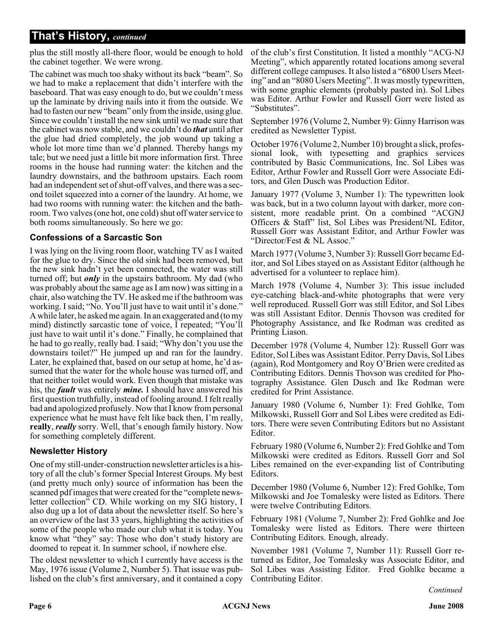plus the still mostly all-there floor, would be enough to hold the cabinet together. We were wrong.

The cabinet was much too shaky without its back "beam". So we had to make a replacement that didn't interfere with the baseboard. That was easy enough to do, but we couldn't mess up the laminate by driving nails into it from the outside. We had to fasten our new "beam" only from the inside, using glue. Since we couldn't install the new sink until we made sure that the cabinet was now stable, and we couldn't do *that* until after the glue had dried completely, the job wound up taking a whole lot more time than we'd planned. Thereby hangs my tale; but we need just a little bit more information first. Three rooms in the house had running water: the kitchen and the laundry downstairs, and the bathroom upstairs. Each room had an independent set of shut-off valves, and there was a second toilet squeezed into a corner of the laundry. At home, we had two rooms with running water: the kitchen and the bathroom. Two valves (one hot, one cold) shut off water service to both rooms simultaneously. So here we go:

#### **Confessions of a Sarcastic Son**

I was lying on the living room floor, watching TV as I waited for the glue to dry. Since the old sink had been removed, but the new sink hadn't yet been connected, the water was still turned off; but *only* in the upstairs bathroom. My dad (who was probably about the same age as I am now) was sitting in a chair, also watching the TV. He asked me if the bathroom was working. I said; "No. You'll just have to wait until it's done." A while later, he asked me again. In an exaggerated and (to my mind) distinctly sarcastic tone of voice, I repeated; "You'll just have to wait until it's done." Finally, he complained that he had to go really, really bad. I said; "Why don't you use the downstairs toilet?" He jumped up and ran for the laundry. Later, he explained that, based on our setup at home, he'd assumed that the water for the whole house was turned off, and that neither toilet would work. Even though that mistake was his, the *fault* was entirely *mine.* I should have answered his first question truthfully, instead of fooling around. I felt really bad and apologized profusely. Now that I know from personal experience what he must have felt like back then, I'm really, **really**, *really* sorry. Well, that's enough family history. Now for something completely different.

#### **Newsletter History**

One of my still-under-construction newsletter articles is a history of all the club's former Special Interest Groups. My best (and pretty much only) source of information has been the scanned pdf images that were created for the "complete newsletter collection" CD. While working on my SIG history, I also dug up a lot of data about the newsletter itself. So here's an overview of the last 33 years, highlighting the activities of some of the people who made our club what it is today. You know what "they" say: Those who don't study history are doomed to repeat it. In summer school, if nowhere else.

The oldest newsletter to which I currently have access is the May, 1976 issue (Volume 2, Number 5). That issue was published on the club's first anniversary, and it contained a copy of the club's first Constitution. It listed a monthly "ACG-NJ Meeting", which apparently rotated locations among several different college campuses. It also listed a "6800 Users Meeting" and an "8080 Users Meeting". It was mostly typewritten, with some graphic elements (probably pasted in). Sol Libes was Editor. Arthur Fowler and Russell Gorr were listed as "Substitutes".

September 1976 (Volume 2, Number 9): Ginny Harrison was credited as Newsletter Typist.

October 1976 (Volume 2, Number 10) brought a slick, professional look, with typesetting and graphics services contributed by Basic Communications, Inc. Sol Libes was Editor, Arthur Fowler and Russell Gorr were Associate Editors, and Glen Dusch was Production Editor.

January 1977 (Volume 3, Number 1): The typewritten look was back, but in a two column layout with darker, more consistent, more readable print. On a combined "ACGNJ Officers & Staff" list, Sol Libes was President/NL Editor, Russell Gorr was Assistant Editor, and Arthur Fowler was "Director/Fest & NL Assoc."

March 1977 (Volume 3, Number 3): Russell Gorr became Editor, and Sol Libes stayed on as Assistant Editor (although he advertised for a volunteer to replace him).

March 1978 (Volume 4, Number 3): This issue included eye-catching black-and-white photographs that were very well reproduced. Russell Gorr was still Editor, and Sol Libes was still Assistant Editor. Dennis Thovson was credited for Photography Assistance, and Ike Rodman was credited as Printing Liason.

December 1978 (Volume 4, Number 12): Russell Gorr was Editor, Sol Libes was Assistant Editor. Perry Davis, Sol Libes (again), Rod Montgomery and Roy O'Brien were credited as Contributing Editors. Dennis Thovson was credited for Photography Assistance. Glen Dusch and Ike Rodman were credited for Print Assistance.

January 1980 (Volume 6, Number 1): Fred Gohlke, Tom Milkowski, Russell Gorr and Sol Libes were credited as Editors. There were seven Contributing Editors but no Assistant Editor.

February 1980 (Volume 6, Number 2): Fred Gohlke and Tom Milkowski were credited as Editors. Russell Gorr and Sol Libes remained on the ever-expanding list of Contributing Editors.

December 1980 (Volume 6, Number 12): Fred Gohlke, Tom Milkowski and Joe Tomalesky were listed as Editors. There were twelve Contributing Editors.

February 1981 (Volume 7, Number 2): Fred Gohlke and Joe Tomalesky were listed as Editors. There were thirteen Contributing Editors. Enough, already.

November 1981 (Volume 7, Number 11): Russell Gorr returned as Editor, Joe Tomalesky was Associate Editor, and Sol Libes was Assisting Editor. Fred Gohlke became a Contributing Editor.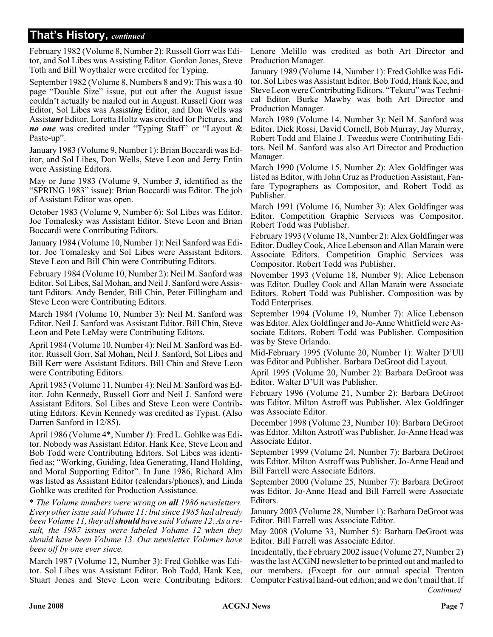February 1982 (Volume 8, Number 2): Russell Gorr was Editor, and Sol Libes was Assisting Editor. Gordon Jones, Steve Toth and Bill Woythaler were credited for Typing.

September 1982 (Volume 8, Numbers 8 and 9): This was a 40 page "Double Size" issue, put out after the August issue couldn't actually be mailed out in August. Russell Gorr was Editor, Sol Libes was Assist*ing* Editor, and Don Wells was Assist*ant* Editor. Loretta Holtz was credited for Pictures, and *no one* was credited under "Typing Staff" or "Layout & Paste-up".

January 1983 (Volume 9, Number 1): Brian Boccardi was Editor, and Sol Libes, Don Wells, Steve Leon and Jerry Entin were Assisting Editors.

May or June 1983 (Volume 9, Number *3*, identified as the "SPRING 1983" issue): Brian Boccardi was Editor. The job of Assistant Editor was open.

October 1983 (Volume 9, Number 6): Sol Libes was Editor. Joe Tomalesky was Assistant Editor. Steve Leon and Brian Boccardi were Contributing Editors.

January 1984 (Volume 10, Number 1): Neil Sanford was Editor. Joe Tomalesky and Sol Libes were Assistant Editors. Steve Leon and Bill Chin were Contributing Editors.

February 1984 (Volume 10, Number 2): Neil M. Sanford was Editor. Sol Libes, Sal Mohan, and Neil J. Sanford were Assistant Editors. Andy Bender, Bill Chin, Peter Fillingham and Steve Leon were Contributing Editors.

March 1984 (Volume 10, Number 3): Neil M. Sanford was Editor. Neil J. Sanford was Assistant Editor. Bill Chin, Steve Leon and Pete LeMay were Contributing Editors.

April 1984 (Volume 10, Number 4): Neil M. Sanford was Editor. Russell Gorr, Sal Mohan, Neil J. Sanford, Sol Libes and Bill Kerr were Assistant Editors. Bill Chin and Steve Leon were Contributing Editors.

April 1985 (Volume 11, Number 4): Neil M. Sanford was Editor. John Kennedy, Russell Gorr and Neil J. Sanford were Assistant Editors. Sol Libes and Steve Leon were Contributing Editors. Kevin Kennedy was credited as Typist. (Also Darren Sanford in 12/85).

April 1986 (Volume 4\*, Number *1*): Fred L. Gohlke was Editor. Nobody was Assistant Editor. Hank Kee, Steve Leon and Bob Todd were Contributing Editors. Sol Libes was identified as; "Working, Guiding, Idea Generating, Hand Holding, and Moral Supporting Editor". In June 1986, Richard Alm was listed as Assistant Editor (calendars/phones), and Linda Gohlke was credited for Production Assistance.

\* *The Volume numbers were wrong on all 1986 newsletters. Every other issue said Volume 11; but since 1985 had already been Volume 11, they allshould have said Volume 12. As a result, the 1987 issues were labeled Volume 12 when they should have been Volume 13. Our newsletter Volumes have been off by one ever since.*

March 1987 (Volume 12, Number 3): Fred Gohlke was Editor. Sol Libes was Assistant Editor. Bob Todd, Hank Kee, Stuart Jones and Steve Leon were Contributing Editors. Lenore Melillo was credited as both Art Director and Production Manager.

January 1989 (Volume 14, Number 1): Fred Gohlke was Editor. Sol Libes was Assistant Editor. Bob Todd, Hank Kee, and Steve Leon were Contributing Editors. "Tekuru" was Technical Editor. Burke Mawby was both Art Director and Production Manager.

March 1989 (Volume 14, Number 3): Neil M. Sanford was Editor. Dick Rossi, David Cornell, Bob Murray, Jay Murray, Robert Todd and Elaine J. Tweedus were Contributing Editors. Neil M. Sanford was also Art Director and Production Manager.

March 1990 (Volume 15, Number *2*): Alex Goldfinger was listed as Editor, with John Cruz as Production Assistant, Fanfare Typographers as Compositor, and Robert Todd as Publisher.

March 1991 (Volume 16, Number 3): Alex Goldfinger was Editor. Competition Graphic Services was Compositor. Robert Todd was Publisher.

February 1993 (Volume 18, Number 2): Alex Goldfinger was Editor. Dudley Cook, Alice Lebenson and Allan Marain were Associate Editors. Competition Graphic Services was Compositor. Robert Todd was Publisher.

November 1993 (Volume 18, Number 9): Alice Lebenson was Editor. Dudley Cook and Allan Marain were Associate Editors. Robert Todd was Publisher. Composition was by Todd Enterprises.

September 1994 (Volume 19, Number 7): Alice Lebenson was Editor. Alex Goldfinger and Jo-Anne Whitfield were Associate Editors. Robert Todd was Publisher. Composition was by Steve Orlando.

Mid-February 1995 (Volume 20, Number 1): Walter D'Ull was Editor and Publisher. Barbara DeGroot did Layout.

April 1995 (Volume 20, Number 2): Barbara DeGroot was Editor. Walter D'Ull was Publisher.

February 1996 (Volume 21, Number 2): Barbara DeGroot was Editor. Milton Astroff was Publisher. Alex Goldfinger was Associate Editor.

December 1998 (Volume 23, Number 10): Barbara DeGroot was Editor. Milton Astroff was Publisher. Jo-Anne Head was Associate Editor.

September 1999 (Volume 24, Number 7): Barbara DeGroot was Editor. Milton Astroff was Publisher. Jo-Anne Head and Bill Farrell were Associate Editors.

September 2000 (Volume 25, Number 7): Barbara DeGroot was Editor. Jo-Anne Head and Bill Farrell were Associate Editors.

January 2003 (Volume 28, Number 1): Barbara DeGroot was Editor. Bill Farrell was Associate Editor.

May 2008 (Volume 33, Number 5): Barbara DeGroot was Editor. Bill Farrell was Associate Editor.

Incidentally, the February 2002 issue (Volume 27, Number 2) was the last ACGNJ newsletter to be printed out and mailed to our members. (Except for our annual special Trenton Computer Festival hand-out edition; and we don't mail that. If *Continued*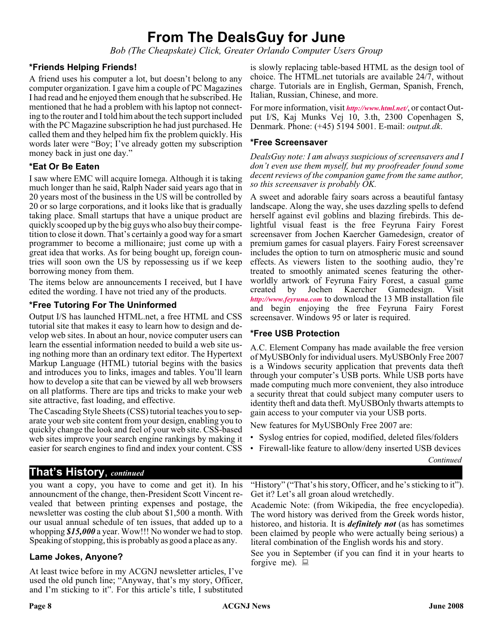# **From The DealsGuy for June**

*Bob (The Cheapskate) Click, Greater Orlando Computer Users Group*

#### **\*Friends Helping Friends!**

A friend uses his computer a lot, but doesn't belong to any computer organization. I gave him a couple of PC Magazines I had read and he enjoyed them enough that he subscribed. He mentioned that he had a problem with his laptop not connecting to the router and I told him about the tech support included with the PC Magazine subscription he had just purchased. He called them and they helped him fix the problem quickly. His words later were "Boy; I've already gotten my subscription money back in just one day."

#### **\*Eat Or Be Eaten**

I saw where EMC will acquire Iomega. Although it is taking much longer than he said, Ralph Nader said years ago that in 20 years most of the business in the US will be controlled by 20 or so large corporations, and it looks like that is gradually taking place. Small startups that have a unique product are quickly scooped up by the big guys who also buy their competition to close it down. That's certainly a good way for a smart programmer to become a millionaire; just come up with a great idea that works. As for being bought up, foreign countries will soon own the US by repossessing us if we keep borrowing money from them.

The items below are announcements I received, but I have edited the wording. I have not tried any of the products.

#### **\*Free Tutoring For The Uninformed**

Output I/S has launched HTML.net, a free HTML and CSS tutorial site that makes it easy to learn how to design and develop web sites. In about an hour, novice computer users can learn the essential information needed to build a web site using nothing more than an ordinary text editor. The Hypertext Markup Language (HTML) tutorial begins with the basics and introduces you to links, images and tables. You'll learn how to develop a site that can be viewed by all web browsers on all platforms. There are tips and tricks to make your web site attractive, fast loading, and effective.

The Cascading Style Sheets (CSS) tutorial teaches you to separate your web site content from your design, enabling you to quickly change the look and feel of your web site. CSS-based web sites improve your search engine rankings by making it easier for search engines to find and index your content. CSS

is slowly replacing table-based HTML as the design tool of choice. The HTML.net tutorials are available 24/7, without charge. Tutorials are in English, German, Spanish, French, Italian, Russian, Chinese, and more.

For more information, visit *<http://www.html.net/>*, or contact Output I/S, Kaj Munks Vej 10, 3.th, 2300 Copenhagen S, Denmark. Phone: (+45) 5194 5001. E-mail: *output.dk*.

#### **\*Free Screensaver**

*DealsGuy note: I am always suspicious of screensavers and I don't even use them myself, but my proofreader found some decent reviews of the companion game from the same author, so this screensaver is probably OK.*

A sweet and adorable fairy soars across a beautiful fantasy landscape. Along the way, she uses dazzling spells to defend herself against evil goblins and blazing firebirds. This delightful visual feast is the free Feyruna Fairy Forest screensaver from Jochen Kaercher Gamedesign, creator of premium games for casual players. Fairy Forest screensaver includes the option to turn on atmospheric music and sound effects. As viewers listen to the soothing audio, they're treated to smoothly animated scenes featuring the otherworldly artwork of Feyruna Fairy Forest, a casual game created by Jochen Kaercher Gamedesign. Visit *<http://www.feyruna.com>* to download the 13 MB installation file and begin enjoying the free Feyruna Fairy Forest screensaver. Windows 95 or later is required.

#### **\*Free USB Protection**

A.C. Element Company has made available the free version of MyUSBOnly for individual users. MyUSBOnly Free 2007 is a Windows security application that prevents data theft through your computer's USB ports. While USB ports have made computing much more convenient, they also introduce a security threat that could subject many computer users to identity theft and data theft. MyUSBOnly thwarts attempts to gain access to your computer via your USB ports.

New features for MyUSBOnly Free 2007 are:

- Syslog entries for copied, modified, deleted files/folders
- Firewall-like feature to allow/deny inserted USB devices

*Continued*

### **That's History**, *continued*

you want a copy, you have to come and get it). In his announcment of the change, then-President Scott Vincent revealed that between printing expenses and postage, the newsletter was costing the club about \$1,500 a month. With our usual annual schedule of ten issues, that added up to a whopping *\$15,000* a year. Wow!!! No wonder we had to stop. Speaking of stopping, this is probably as good a place as any.

#### **Lame Jokes, Anyone?**

At least twice before in my ACGNJ newsletter articles, I've used the old punch line; "Anyway, that's my story, Officer, and I'm sticking to it". For this article's title, I substituted "History" ("That's his story, Officer, and he's sticking to it"). Get it? Let's all groan aloud wretchedly.

Academic Note: (from Wikipedia, the free encyclopedia). The word history was derived from the Greek words histor, historeo, and historia. It is *definitely not* (as has sometimes been claimed by people who were actually being serious) a literal combination of the English words his and story.

See you in September (if you can find it in your hearts to forgive me).  $\Box$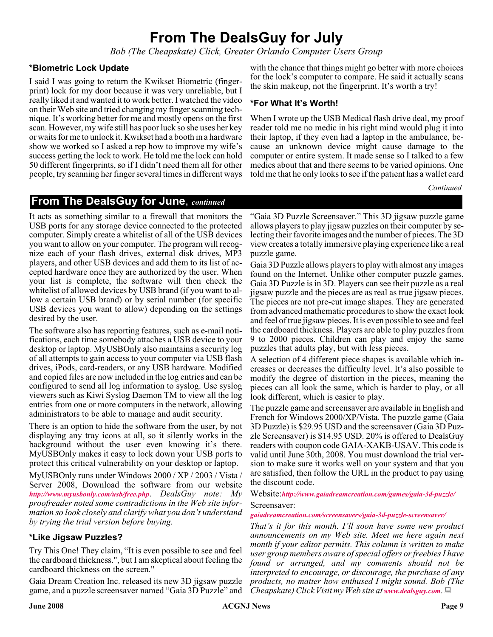# **From The DealsGuy for July**

*Bob (The Cheapskate) Click, Greater Orlando Computer Users Group*

#### **\*Biometric Lock Update**

I said I was going to return the Kwikset Biometric (fingerprint) lock for my door because it was very unreliable, but I really liked it and wanted it to work better. I watched the video on their Web site and tried changing my finger scanning technique. It's working better for me and mostly opens on the first scan. However, my wife still has poor luck so she uses her key or waits for me to unlock it. Kwikset had a booth in a hardware show we worked so I asked a rep how to improve my wife's success getting the lock to work. He told me the lock can hold 50 different fingerprints, so if I didn't need them all for other people, try scanning her finger several times in different ways

with the chance that things might go better with more choices for the lock's computer to compare. He said it actually scans the skin makeup, not the fingerprint. It's worth a try!

#### **\*For What It's Worth!**

When I wrote up the USB Medical flash drive deal, my proof reader told me no medic in his right mind would plug it into their laptop, if they even had a laptop in the ambulance, because an unknown device might cause damage to the computer or entire system. It made sense so I talked to a few medics about that and there seems to be varied opinions. One told me that he only looks to see if the patient has a wallet card

*Continued*

#### **From The DealsGuy for June**, *continued*

It acts as something similar to a firewall that monitors the USB ports for any storage device connected to the protected computer. Simply create a whitelist of all of the USB devices you want to allow on your computer. The program will recognize each of your flash drives, external disk drives, MP3 players, and other USB devices and add them to its list of accepted hardware once they are authorized by the user. When your list is complete, the software will then check the whitelist of allowed devices by USB brand (if you want to allow a certain USB brand) or by serial number (for specific USB devices you want to allow) depending on the settings desired by the user.

The software also has reporting features, such as e-mail notifications, each time somebody attaches a USB device to your desktop or laptop. MyUSBOnly also maintains a security log of all attempts to gain access to your computer via USB flash drives, iPods, card-readers, or any USB hardware. Modified and copied files are now included in the log entries and can be configured to send all log information to syslog. Use syslog viewers such as Kiwi Syslog Daemon TM to view all the log entries from one or more computers in the network, allowing administrators to be able to manage and audit security.

There is an option to hide the software from the user, by not displaying any tray icons at all, so it silently works in the background without the user even knowing it's there. MyUSBOnly makes it easy to lock down your USB ports to protect this critical vulnerability on your desktop or laptop.

MyUSBOnly runs under Windows 2000 / XP / 2003 / Vista / Server 2008, Download the software from our website *<http://www.myusbonly.com/usb/free.php>*. *DealsGuy note: My proofreader noted some contradictions in the Web site information so look closely and clarify what you don't understand by trying the trial version before buying.*

#### **\*Like Jigsaw Puzzles?**

Try This One! They claim, "It is even possible to see and feel the cardboard thickness.", but I am skeptical about feeling the cardboard thickness on the screen."

Gaia Dream Creation Inc. released its new 3D jigsaw puzzle game, and a puzzle screensaver named "Gaia 3D Puzzle" and

"Gaia 3D Puzzle Screensaver." This 3D jigsaw puzzle game allows players to play jigsaw puzzles on their computer by selecting their favorite images and the number of pieces. The 3D view creates a totally immersive playing experience like a real puzzle game.

Gaia 3D Puzzle allows players to play with almost any images found on the Internet. Unlike other computer puzzle games, Gaia 3D Puzzle is in 3D. Players can see their puzzle as a real jigsaw puzzle and the pieces are as real as true jigsaw pieces. The pieces are not pre-cut image shapes. They are generated from advanced mathematic procedures to show the exact look and feel of true jigsaw pieces. It is even possible to see and feel the cardboard thickness. Players are able to play puzzles from 9 to 2000 pieces. Children can play and enjoy the same puzzles that adults play, but with less pieces.

A selection of 4 different piece shapes is available which increases or decreases the difficulty level. It's also possible to modify the degree of distortion in the pieces, meaning the pieces can all look the same, which is harder to play, or all look different, which is easier to play.

The puzzle game and screensaver are available in English and French for Windows 2000/XP/Vista. The puzzle game (Gaia 3D Puzzle) is \$29.95 USD and the screensaver (Gaia 3D Puzzle Screensaver) is \$14.95 USD. 20% is offered to DealsGuy readers with coupon code GAIA-XAKB-USAV. This code is valid until June 30th, 2008. You must download the trial version to make sure it works well on your system and that you are satisfied, then follow the URL in the product to pay using the discount code.

Website:*<http://www.gaiadreamcreation.com/games/gaia-3d-puzzle/>* Screensaver:

#### *[gaiadreamcreation.com/screensavers/gaia-3d-puzzle-screensaver/](http://www.gaiadreamcreation.com/screensavers/gaia-3d-puzzle-screensaver/)*

*That's it for this month. I'll soon have some new product announcements on my Web site. Meet me here again next month if your editor permits. This column is written to make user group members aware of special offers or freebies I have found or arranged, and my comments should not be interpreted to encourage, or discourage, the purchase of any products, no matter how enthused I might sound. Bob (The Cheapskate) Click Visit my Web site at [www.dealsguy.com](http://www.dealsguy.com)*.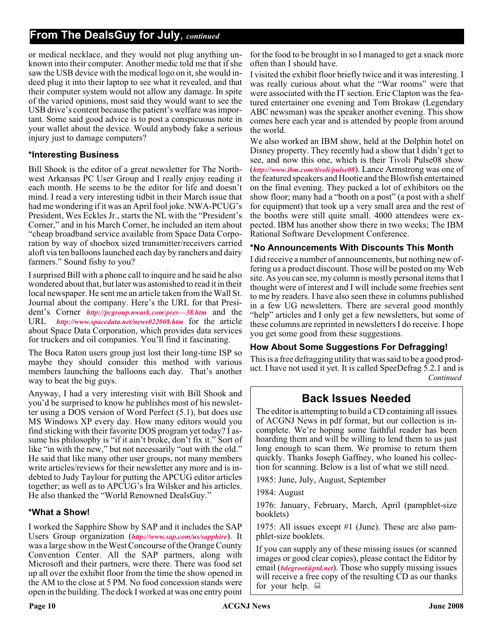### **From The DealsGuy for July**, *continued*

or medical necklace, and they would not plug anything unknown into their computer. Another medic told me that if she saw the USB device with the medical logo on it, she would indeed plug it into their laptop to see what it revealed, and that their computer system would not allow any damage. In spite of the varied opinions, most said they would want to see the USB drive's content because the patient's welfare was important. Some said good advice is to post a conspicuous note in your wallet about the device. Would anybody fake a serious injury just to damage computers?

#### **\*Interesting Business**

Bill Shook is the editor of a great newsletter for The Northwest Arkansas PC User Group and I really enjoy reading it each month. He seems to be the editor for life and doesn't mind. I read a very interesting tidbit in their March issue that had me wondering if it was an April fool joke. NWA-PCUG's President, Wes Eckles Jr., starts the NL with the "President's Corner," and in his March Corner, he included an item about "cheap broadband service available from Space Data Corporation by way of shoebox sized transmitter/receivers carried aloft via ten balloons launched each day by ranchers and dairy farmers." Sound fishy to you?

I surprised Bill with a phone call to inquire and he said he also wondered about that, but later was astonished to read it in their local newspaper. He sent me an article taken from the Wall St. Journal about the company. Here's the URL for that President's Corner *[http://pcgroup.nwark.com\pres—38.htm](http://pcgroup.nwark.com\pres�38.htm)* and the URL *<http://www.spacedata.net/news022008.htm>* for the article about Space Data Corporation, which provides data services for truckers and oil companies. You'll find it fascinating.

The Boca Raton users group just lost their long-time ISP so maybe they should consider this method with various members launching the balloons each day. That's another way to beat the big guys.

Anyway, I had a very interesting visit with Bill Shook and you'd be surprised to know he publishes most of his newsletter using a DOS version of Word Perfect (5.1), but does use MS Windows XP every day. How many editors would you find sticking with their favorite DOS program yet today? I assume his philosophy is "if it ain't broke, don't fix it." Sort of like "in with the new," but not necessarily "out with the old." He said that like many other user groups, not many members write articles/reviews for their newsletter any more and is indebted to Judy Taylour for putting the APCUG editor articles together; as well as to APCUG's Ira Wilsker and his articles. He also thanked the "World Renowned DealsGuy."

#### **\*What a Show!**

I worked the Sapphire Show by SAP and it includes the SAP Users Group organization (*<http://www.sap.com/us/sapphire>*). It was a large show in the West Concourse of the Orange County Convention Center. All the SAP partners, along with Microsoft and their partners, were there. There was food set up all over the exhibit floor from the time the show opened in the AM to the close at 5 PM. No food concession stands were open in the building. The dock I worked at was one entry point

for the food to be brought in so I managed to get a snack more often than I should have.

I visited the exhibit floor briefly twice and it was interesting. I was really curious about what the "War rooms" were that were associated with the IT section. Eric Clapton was the featured entertainer one evening and Tom Brokaw (Legendary ABC newsman) was the speaker another evening. This show comes here each year and is attended by people from around the world.

We also worked an IBM show, held at the Dolphin hotel on Disney property. They recently had a show that I didn't get to see, and now this one, which is their Tivoli Pulse08 show (*<http://www.ibm.com/tivoli/pulse08>*). Lance Armstrong was one of the featured speakers and Hootie and the Blowfish entertained on the final evening. They packed a lot of exhibitors on the show floor; many had a "booth on a post" (a post with a shelf for equipment) that took up a very small area and the rest of the booths were still quite small. 4000 attendees were expected. IBM has another show there in two weeks; The IBM Rational Software Development Conference.

#### **\*No Announcements With Discounts This Month**

I did receive a number of announcements, but nothing new offering us a product discount. Those will be posted on my Web site. As you can see, my column is mostly personal items that I thought were of interest and I will include some freebies sent to me by readers. I have also seen these in columns published in a few UG newsletters. There are several good monthly "help" articles and I only get a few newsletters, but some of these columns are reprinted in newsletters I do receive. I hope you get some good from these suggestions.

#### **How About Some Suggestions For Defragging!**

This is a free defragging utility that was said to be a good product. I have not used it yet. It is called SpeeDefrag 5.2.1 and is *Continued*

### **Back Issues Needed**

The editor is attempting to build a CD containing all issues of ACGNJ News in pdf format, but our collection is incomplete. We're hoping some faithful reader has been hoarding them and will be willing to lend them to us just long enough to scan them. We promise to return them quickly. Thanks Joseph Gaffney, who loaned his collection for scanning. Below is a list of what we still need.

1985: June, July, August, September

1984: August

1976: January, February, March, April (pamphlet-size booklets)

1975: All issues except #1 (June). These are also pamphlet-size booklets.

If you can supply any of these missing issues (or scanned images or good clear copies), please contact the Editor by email (*[bdegroot@ptd.net](mailto:bdegroot@ptd.net)*). Those who supply missing issues will receive a free copy of the resulting CD as our thanks for your help.  $\Box$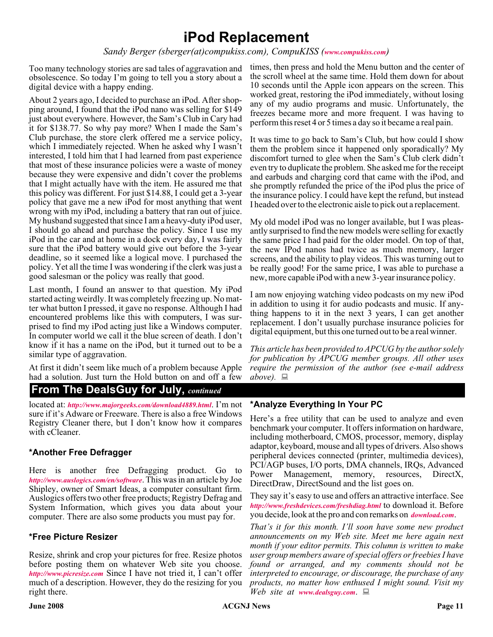# **iPod Replacement**

*Sandy Berger (sberger(at)compukiss.com), CompuKISS ([www.compukiss.com](http://www.compukiss.com))*

Too many technology stories are sad tales of aggravation and obsolescence. So today I'm going to tell you a story about a digital device with a happy ending.

About 2 years ago, I decided to purchase an iPod. After shopping around, I found that the iPod nano was selling for \$149 just about everywhere. However, the Sam's Club in Cary had it for \$138.77. So why pay more? When I made the Sam's Club purchase, the store clerk offered me a service policy, which I immediately rejected. When he asked why I wasn't interested, I told him that I had learned from past experience that most of these insurance policies were a waste of money because they were expensive and didn't cover the problems that I might actually have with the item. He assured me that this policy was different. For just \$14.88, I could get a 3-year policy that gave me a new iPod for most anything that went wrong with my iPod, including a battery that ran out of juice. My husband suggested that since I am a heavy-duty iPod user, I should go ahead and purchase the policy. Since I use my iPod in the car and at home in a dock every day, I was fairly sure that the iPod battery would give out before the 3-year deadline, so it seemed like a logical move. I purchased the policy. Yet all the time I was wondering if the clerk was just a good salesman or the policy was really that good.

Last month, I found an answer to that question. My iPod started acting weirdly. It was completely freezing up. No matter what button I pressed, it gave no response. Although I had encountered problems like this with computers, I was surprised to find my iPod acting just like a Windows computer. In computer world we call it the blue screen of death. I don't know if it has a name on the iPod, but it turned out to be a similar type of aggravation.

At first it didn't seem like much of a problem because Apple had a solution. Just turn the Hold button on and off a few

### **From The DealsGuy for July,** *continued*

located at: *<http://www.majorgeeks.com/download4889.html>*. I'm not sure if it's Adware or Freeware. There is also a free Windows Registry Cleaner there, but I don't know how it compares with cCleaner.

#### **\*Another Free Defragger**

Here is another free Defragging product. Go to *<http://www.auslogics.com/en/software>*. This was in an article by Joe Shipley, owner of Smart Ideas, a computer consultant firm. Auslogics offers two other free products; Registry Defrag and System Information, which gives you data about your computer. There are also some products you must pay for.

#### **\*Free Picture Resizer**

Resize, shrink and crop your pictures for free. Resize photos before posting them on whatever Web site you choose. *<http://www.picresize.com>* Since I have not tried it, I can't offer much of a description. However, they do the resizing for you right there.

times, then press and hold the Menu button and the center of the scroll wheel at the same time. Hold them down for about 10 seconds until the Apple icon appears on the screen. This worked great, restoring the iPod immediately, without losing any of my audio programs and music. Unfortunately, the freezes became more and more frequent. I was having to perform this reset 4 or 5 times a day so it became a real pain.

It was time to go back to Sam's Club, but how could I show them the problem since it happened only sporadically? My discomfort turned to glee when the Sam's Club clerk didn't even try to duplicate the problem. She asked me for the receipt and earbuds and charging cord that came with the iPod, and she promptly refunded the price of the iPod plus the price of the insurance policy. I could have kept the refund, but instead I headed over to the electronic aisle to pick out a replacement.

My old model iPod was no longer available, but I was pleasantly surprised to find the new models were selling for exactly the same price I had paid for the older model. On top of that, the new IPod nanos had twice as much memory, larger screens, and the ability to play videos. This was turning out to be really good! For the same price, I was able to purchase a new, more capable iPod with a new 3-year insurance policy.

I am now enjoying watching video podcasts on my new iPod in addition to using it for audio podcasts and music. If anything happens to it in the next 3 years, I can get another replacement. I don't usually purchase insurance policies for digital equipment, but this one turned out to be a real winner.

*This article has been provided to APCUG by the author solely for publication by APCUG member groups. All other uses require the permission of the author (see e-mail address*  $above$ *.*  $\Box$ 

#### **\*Analyze Everything In Your PC**

Here's a free utility that can be used to analyze and even benchmark your computer. It offers information on hardware, including motherboard, CMOS, processor, memory, display adaptor, keyboard, mouse and all types of drivers. Also shows peripheral devices connected (printer, multimedia devices), PCI/AGP buses, I/O ports, DMA channels, IRQs, Advanced Power Management, memory, resources, DirectX, DirectDraw, DirectSound and the list goes on.

They say it's easy to use and offers an attractive interface. See *<http://www.freshdevices.com/freshdiag.html>* to download it. Before you decide, look at the pro and con remarks on *[download.com](http://www.download.com/)*.

*That's it for this month. I'll soon have some new product announcements on my Web site. Meet me here again next month if your editor permits. This column is written to make user group members aware of special offers or freebies I have found or arranged, and my comments should not be interpreted to encourage, or discourage, the purchase of any products, no matter how enthused I might sound. Visit my Web site at [www.dealsguy.com](http://www.dealsguy.com)*.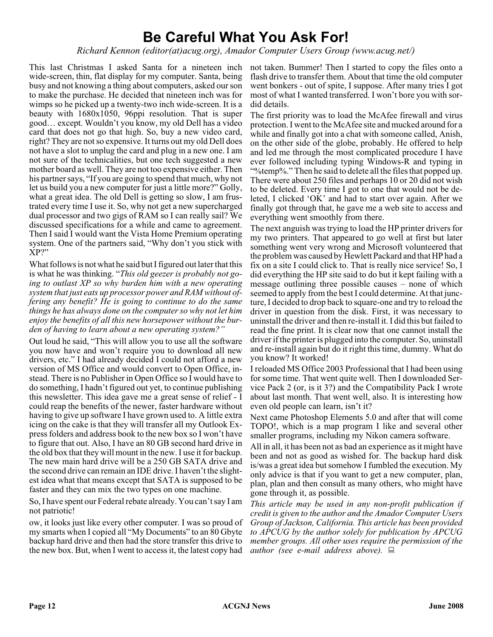# **Be Careful What You Ask For!**

*Richard Kennon (editor(at)acug.org), Amador Computer Users Group (www.acug.net/)*

This last Christmas I asked Santa for a nineteen inch not taken. Bummer! Then I started to copy the files onto a wide-screen, thin, flat display for my computer. Santa, being busy and not knowing a thing about computers, asked our son to make the purchase. He decided that nineteen inch was for wimps so he picked up a twenty-two inch wide-screen. It is a beauty with 1680x1050, 96ppi resolution. That is super good… except. Wouldn't you know, my old Dell has a video card that does not go that high. So, buy a new video card, right? They are not so expensive. It turns out my old Dell does not have a slot to unplug the card and plug in a new one. I am not sure of the technicalities, but one tech suggested a new mother board as well. They are not too expensive either. Then his partner says, "If you are going to spend that much, why not let us build you a new computer for just a little more?" Golly, what a great idea. The old Dell is getting so slow, I am frustrated every time I use it. So, why not get a new supercharged dual processor and two gigs of RAM so I can really sail? We discussed specifications for a while and came to agreement. Then I said I would want the Vista Home Premium operating system. One of the partners said, "Why don't you stick with XP?"

What follows is not what he said but I figured out later that this is what he was thinking. "*This old geezer is probably not going to outlast XP so why burden him with a new operating system that just eats up processor power and RAM without offering any benefit? He is going to continue to do the same things he has always done on the computer so why not let him enjoy the benefits of all this new horsepower without the burden of having to learn about a new operating system?"*

Out loud he said, "This will allow you to use all the software you now have and won't require you to download all new drivers, etc." I had already decided I could not afford a new version of MS Office and would convert to Open Office, instead. There is no Publisher in Open Office so I would have to do something, I hadn't figured out yet, to continue publishing this newsletter. This idea gave me a great sense of relief - I could reap the benefits of the newer, faster hardware without having to give up software I have grown used to. A little extra icing on the cake is that they will transfer all my Outlook Express folders and address book to the new box so I won't have to figure that out. Also, I have an 80 GB second hard drive in the old box that they will mount in the new. I use it for backup. The new main hard drive will be a 250 GB SATA drive and the second drive can remain an IDE drive. I haven't the slightest idea what that means except that SATA is supposed to be faster and they can mix the two types on one machine.

So, I have spent our Federal rebate already. You can't say I am not patriotic!

ow, it looks just like every other computer. I was so proud of my smarts when I copied all "My Documents" to an 80 Gbyte backup hard drive and then had the store transfer this drive to the new box. But, when I went to access it, the latest copy had

flash drive to transfer them. About that time the old computer went bonkers - out of spite, I suppose. After many tries I got most of what I wanted transferred. I won't bore you with sordid details.

The first priority was to load the McAfee firewall and virus protection. I went to the McAfee site and mucked around for a while and finally got into a chat with someone called, Anish, on the other side of the globe, probably. He offered to help and led me through the most complicated procedure I have ever followed including typing Windows-R and typing in "%temp%." Then he said to delete all the files that popped up. There were about 250 files and perhaps 10 or 20 did not wish to be deleted. Every time I got to one that would not be deleted, I clicked 'OK' and had to start over again. After we finally got through that, he gave me a web site to access and everything went smoothly from there.

The next anguish was trying to load the HP printer drivers for my two printers. That appeared to go well at first but later something went very wrong and Microsoft volunteered that the problem was caused by Hewlett Packard and that HP had a fix on a site I could click to. That is really nice service! So, I did everything the HP site said to do but it kept failing with a message outlining three possible causes – none of which seemed to apply from the best I could determine. At that juncture, I decided to drop back to square-one and try to reload the driver in question from the disk. First, it was necessary to uninstall the driver and then re-install it. I did this but failed to read the fine print. It is clear now that one cannot install the driver if the printer is plugged into the computer. So, uninstall and re-install again but do it right this time, dummy. What do you know? It worked!

I reloaded MS Office 2003 Professional that I had been using for some time. That went quite well. Then I downloaded Service Pack 2 (or, is it 3?) and the Compatibility Pack I wrote about last month. That went well, also. It is interesting how even old people can learn, isn't it?

Next came Photoshop Elements 5.0 and after that will come TOPO!, which is a map program I like and several other smaller programs, including my Nikon camera software.

All in all, it has been not as bad an experience as it might have been and not as good as wished for. The backup hard disk is/was a great idea but somehow I fumbled the execution. My only advice is that if you want to get a new computer, plan, plan, plan and then consult as many others, who might have gone through it, as possible.

*This article may be used in any non-profit publication if credit is given to the author and the Amador Computer Users Group of Jackson, California. This article has been provided to APCUG by the author solely for publication by APCUG member groups. All other uses require the permission of the author (see e-mail address above).*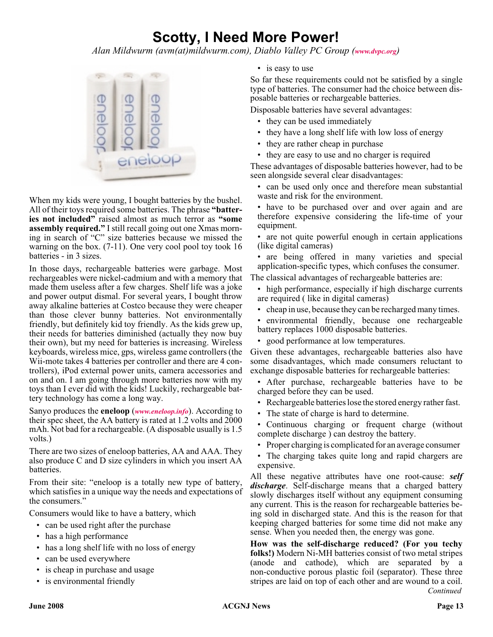# **Scotty, I Need More Power!**

*Alan Mildwurm (avm(at)mildwurm.com), Diablo Valley PC Group ([www.dvpc.org](http://www.dvpc.org))*



When my kids were young, I bought batteries by the bushel. All of their toys required some batteries. The phrase **"batteries not included"** raised almost as much terror as **"some assembly required."** I still recall going out one Xmas morning in search of "C" size batteries because we missed the warning on the box. (7-11). One very cool pool toy took 16 batteries - in 3 sizes.

In those days, rechargeable batteries were garbage. Most rechargeables were nickel-cadmium and with a memory that made them useless after a few charges. Shelf life was a joke and power output dismal. For several years, I bought throw away alkaline batteries at Costco because they were cheaper than those clever bunny batteries. Not environmentally friendly, but definitely kid toy friendly. As the kids grew up, their needs for batteries diminished (actually they now buy their own), but my need for batteries is increasing. Wireless keyboards, wireless mice, gps, wireless game controllers (the Wii-mote takes 4 batteries per controller and there are 4 controllers), iPod external power units, camera accessories and on and on. I am going through more batteries now with my toys than I ever did with the kids! Luckily, rechargeable battery technology has come a long way.

Sanyo produces the **eneloop** (*[www.eneloop.info](http://www.eneloop.info)*). According to their spec sheet, the AA battery is rated at 1.2 volts and 2000 mAh. Not bad for a rechargeable. (A disposable usually is 1.5 volts.)

There are two sizes of eneloop batteries, AA and AAA. They also produce C and D size cylinders in which you insert AA batteries.

From their site: "eneloop is a totally new type of battery, which satisfies in a unique way the needs and expectations of the consumers."

Consumers would like to have a battery, which

- can be used right after the purchase
- has a high performance
- has a long shelf life with no loss of energy
- can be used everywhere
- is cheap in purchase and usage
- is environmental friendly

• is easy to use

So far these requirements could not be satisfied by a single type of batteries. The consumer had the choice between disposable batteries or rechargeable batteries.

Disposable batteries have several advantages:

- they can be used immediately
- they have a long shelf life with low loss of energy
- they are rather cheap in purchase
- they are easy to use and no charger is required

These advantages of disposable batteries however, had to be seen alongside several clear disadvantages:

• can be used only once and therefore mean substantial waste and risk for the environment.

• have to be purchased over and over again and are therefore expensive considering the life-time of your equipment.

• are not quite powerful enough in certain applications (like digital cameras)

• are being offered in many varieties and special application-specific types, which confuses the consumer.

The classical advantages of rechargeable batteries are:

- high performance, especially if high discharge currents are required ( like in digital cameras)
- cheap in use, because they can be recharged many times.
- environmental friendly, because one rechargeable battery replaces 1000 disposable batteries.
- good performance at low temperatures.

Given these advantages, rechargeable batteries also have some disadvantages, which made consumers reluctant to exchange disposable batteries for rechargeable batteries:

- After purchase, rechargeable batteries have to be charged before they can be used.
- Rechargeable batteries lose the stored energy rather fast.
- The state of charge is hard to determine.

• Continuous charging or frequent charge (without complete discharge ) can destroy the battery.

• Proper charging is complicated for an average consumer

• The charging takes quite long and rapid chargers are expensive.

All these negative attributes have one root-cause: *self discharge*. Self-discharge means that a charged battery slowly discharges itself without any equipment consuming any current. This is the reason for rechargeable batteries being sold in discharged state. And this is the reason for that keeping charged batteries for some time did not make any sense. When you needed then, the energy was gone.

**How was the self-discharge reduced? (For you techy folks!)** Modern Ni-MH batteries consist of two metal stripes (anode and cathode), which are separated by a non-conductive porous plastic foil (separator). These three stripes are laid on top of each other and are wound to a coil. *Continued*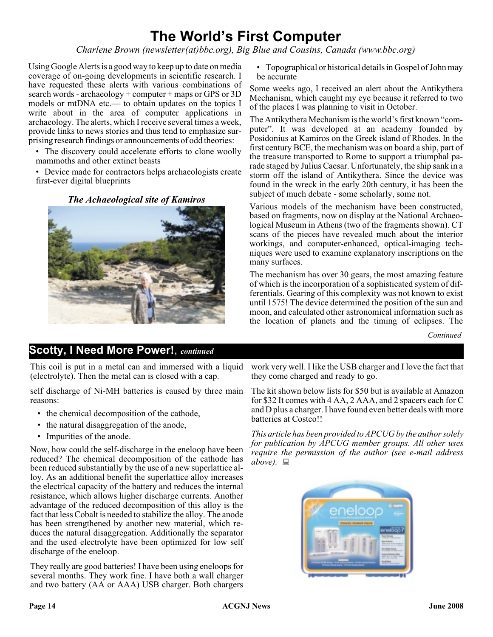# **The World's First Computer**

*Charlene Brown (newsletter(at)bbc.org), Big Blue and Cousins, Canada (www.bbc.org)*

Using Google Alerts is a good way to keep up to date on media coverage of on-going developments in scientific research. I have requested these alerts with various combinations of search words - archaeology + computer + maps or GPS or 3D models or mtDNA etc.— to obtain updates on the topics I write about in the area of computer applications in archaeology. The alerts, which I receive several times a week, provide links to news stories and thus tend to emphasize surprising research findings or announcements of odd theories:

• The discovery could accelerate efforts to clone woolly mammoths and other extinct beasts

• Device made for contractors helps archaeologists create first-ever digital blueprints

*The Achaeological site of Kamiros*



• Topographical or historical details in Gospel of John may be accurate

Some weeks ago, I received an alert about the Antikythera Mechanism, which caught my eye because it referred to two of the places I was planning to visit in October.

The Antikythera Mechanism is the world's first known "computer". It was developed at an academy founded by Posidonius at Kamiros on the Greek island of Rhodes. In the first century BCE, the mechanism was on board a ship, part of the treasure transported to Rome to support a triumphal parade staged by Julius Caesar. Unfortunately, the ship sank in a storm off the island of Antikythera. Since the device was found in the wreck in the early 20th century, it has been the subject of much debate - some scholarly, some not.

Various models of the mechanism have been constructed, based on fragments, now on display at the National Archaeological Museum in Athens (two of the fragments shown). CT scans of the pieces have revealed much about the interior workings, and computer-enhanced, optical-imaging techniques were used to examine explanatory inscriptions on the many surfaces.

The mechanism has over 30 gears, the most amazing feature of which is the incorporation of a sophisticated system of differentials. Gearing of this complexity was not known to exist until 1575! The device determined the position of the sun and moon, and calculated other astronomical information such as the location of planets and the timing of eclipses. The

*Continued*

### **Scotty, I Need More Power!**, *continued*

This coil is put in a metal can and immersed with a liquid (electrolyte). Then the metal can is closed with a cap.

self discharge of Ni-MH batteries is caused by three main reasons:

- the chemical decomposition of the cathode,
- the natural disaggregation of the anode,
- Impurities of the anode.

Now, how could the self-discharge in the eneloop have been reduced? The chemical decomposition of the cathode has been reduced substantially by the use of a new superlattice alloy. As an additional benefit the superlattice alloy increases the electrical capacity of the battery and reduces the internal resistance, which allows higher discharge currents. Another advantage of the reduced decomposition of this alloy is the fact that less Cobalt is needed to stabilize the alloy. The anode has been strengthened by another new material, which reduces the natural disaggregation. Additionally the separator and the used electrolyte have been optimized for low self discharge of the eneloop.

They really are good batteries! I have been using eneloops for several months. They work fine. I have both a wall charger and two battery (AA or AAA) USB charger. Both chargers

work very well. I like the USB charger and I love the fact that they come charged and ready to go.

The kit shown below lists for \$50 but is available at Amazon for \$32 It comes with 4 AA, 2 AAA, and 2 spacers each for C and D plus a charger. I have found even better deals with more batteries at Costco!!

*This article has been provided to APCUG by the author solely for publication by APCUG member groups. All other uses require the permission of the author (see e-mail address*  $above. \equiv$ 

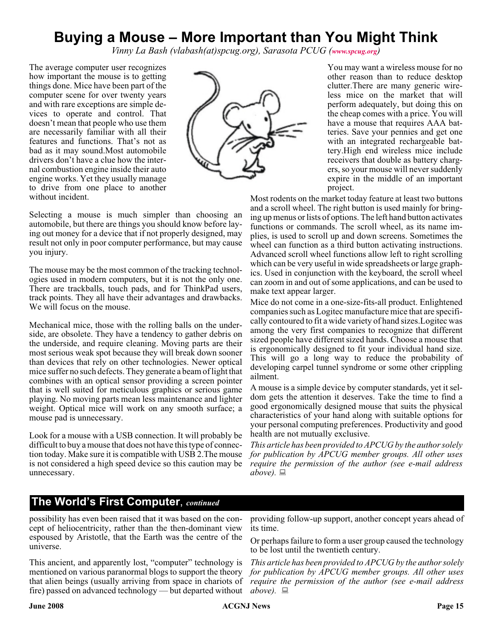# **Buying a Mouse – More Important than You Might Think**

*Vinny La Bash (vlabash(at)spcug.org), Sarasota PCUG ([www.spcug.org](http://www.spcug.org))*

The average computer user recognizes how important the mouse is to getting things done. Mice have been part of the computer scene for over twenty years and with rare exceptions are simple devices to operate and control. That doesn't mean that people who use them are necessarily familiar with all their features and functions. That's not as bad as it may sound.Most automobile drivers don't have a clue how the internal combustion engine inside their auto engine works. Yet they usually manage to drive from one place to another without incident.



You may want a wireless mouse for no other reason than to reduce desktop clutter.There are many generic wireless mice on the market that will perform adequately, but doing this on the cheap comes with a price. You will have a mouse that requires AAA batteries. Save your pennies and get one with an integrated rechargeable battery.High end wireless mice include receivers that double as battery chargers, so your mouse will never suddenly expire in the middle of an important project.

Most rodents on the market today feature at least two buttons and a scroll wheel. The right button is used mainly for bringing up menus or lists of options. The left hand button activates functions or commands. The scroll wheel, as its name implies, is used to scroll up and down screens. Sometimes the wheel can function as a third button activating instructions. Advanced scroll wheel functions allow left to right scrolling which can be very useful in wide spreadsheets or large graphics. Used in conjunction with the keyboard, the scroll wheel can zoom in and out of some applications, and can be used to make text appear larger.

Mice do not come in a one-size-fits-all product. Enlightened companies such as Logitec manufacture mice that are specifically contoured to fit a wide variety of hand sizes.Logitec was among the very first companies to recognize that different sized people have different sized hands. Choose a mouse that is ergonomically designed to fit your individual hand size. This will go a long way to reduce the probability of developing carpel tunnel syndrome or some other crippling ailment.

A mouse is a simple device by computer standards, yet it seldom gets the attention it deserves. Take the time to find a good ergonomically designed mouse that suits the physical characteristics of your hand along with suitable options for your personal computing preferences. Productivity and good health are not mutually exclusive.

*This article has been provided to APCUG by the author solely for publication by APCUG member groups. All other uses require the permission of the author (see e-mail address*  $above. \equiv$ 

#### Selecting a mouse is much simpler than choosing an automobile, but there are things you should know before laying out money for a device that if not properly designed, may result not only in poor computer performance, but may cause you injury.

The mouse may be the most common of the tracking technologies used in modern computers, but it is not the only one. There are trackballs, touch pads, and for ThinkPad users, track points. They all have their advantages and drawbacks. We will focus on the mouse.

Mechanical mice, those with the rolling balls on the underside, are obsolete. They have a tendency to gather debris on the underside, and require cleaning. Moving parts are their most serious weak spot because they will break down sooner than devices that rely on other technologies. Newer optical mice suffer no such defects. They generate a beam of light that combines with an optical sensor providing a screen pointer that is well suited for meticulous graphics or serious game playing. No moving parts mean less maintenance and lighter weight. Optical mice will work on any smooth surface; a mouse pad is unnecessary.

Look for a mouse with a USB connection. It will probably be difficult to buy a mouse that does not have this type of connection today. Make sure it is compatible with USB 2.The mouse is not considered a high speed device so this caution may be unnecessary.

### **The World's First Computer**, *continued*

possibility has even been raised that it was based on the concept of heliocentricity, rather than the then-dominant view espoused by Aristotle, that the Earth was the centre of the universe.

This ancient, and apparently lost, "computer" technology is mentioned on various paranormal blogs to support the theory *for publication by APCUG member groups. All other uses* that alien beings (usually arriving from space in chariots of *require the permission of the author (see e-mail address* fire) passed on advanced technology — but departed without  $above$ .

providing follow-up support, another concept years ahead of its time.

Or perhaps failure to form a user group caused the technology to be lost until the twentieth century.

*This article has been provided to APCUG by the author solely*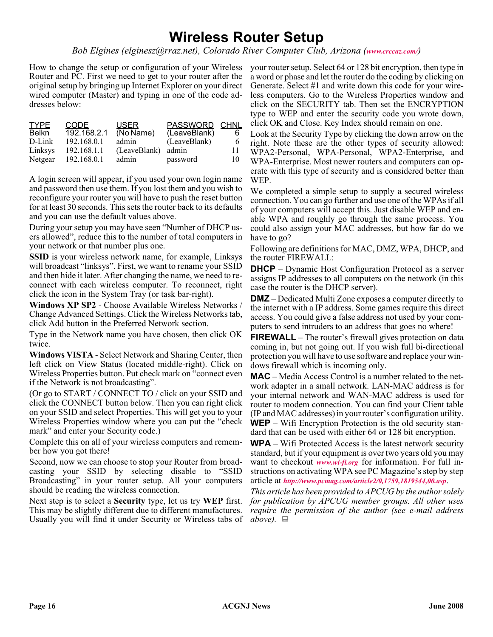# **Wireless Router Setup**

*Bob Elgines (elginesz@rraz.net), Colorado River Computer Club, Arizona ([www.crccaz.com/](http://www.crccaz.com/))*

How to change the setup or configuration of your Wireless Router and PC. First we need to get to your router after the original setup by bringing up Internet Explorer on your direct wired computer (Master) and typing in one of the code addresses below:

| <b>TYPE</b><br>Belkn | CODE<br>192.168.2.1 | <b>USER</b><br>(No Name) | PASSWORD CHNL<br>(LeaveBlank) | 6  |
|----------------------|---------------------|--------------------------|-------------------------------|----|
| D-Link               | 192.168.0.1         | admin                    | (LeaveBlank)                  | 6  |
| Linksys              | 192.168.1.1         | (LeaveBlank) admin       |                               | 11 |
| Netgear              | 192.168.0.1         | admin                    | password                      | 10 |

A login screen will appear, if you used your own login name and password then use them. If you lost them and you wish to reconfigure your router you will have to push the reset button for at least 30 seconds. This sets the router back to its defaults and you can use the default values above.

During your setup you may have seen "Number of DHCP users allowed", reduce this to the number of total computers in your network or that number plus one.

**SSID** is your wireless network name, for example, Linksys will broadcast "linksys". First, we want to rename your SSID and then hide it later. After changing the name, we need to reconnect with each wireless computer. To reconnect, right click the icon in the System Tray (or task bar-right).

**Windows XP SP2** - Choose Available Wireless Networks / Change Advanced Settings. Click the Wireless Networks tab, click Add button in the Preferred Network section.

Type in the Network name you have chosen, then click OK twice.

**Windows VISTA** - Select Network and Sharing Center, then left click on View Status (located middle-right). Click on Wireless Properties button. Put check mark on "connect even if the Network is not broadcasting".

(Or go to START / CONNECT TO / click on your SSID and click the CONNECT button below. Then you can right click on your SSID and select Properties. This will get you to your Wireless Properties window where you can put the "check mark" and enter your Security code.)

Complete this on all of your wireless computers and remember how you got there!

Second, now we can choose to stop your Router from broadcasting your SSID by selecting disable to "SSID Broadcasting" in your router setup. All your computers should be reading the wireless connection.

Next step is to select a **Security** type, let us try **WEP** first. This may be slightly different due to different manufactures. Usually you will find it under Security or Wireless tabs of  $above$ .

your router setup. Select 64 or 128 bit encryption, then type in a word or phase and let the router do the coding by clicking on Generate. Select #1 and write down this code for your wireless computers. Go to the Wireless Properties window and click on the SECURITY tab. Then set the ENCRYPTION type to WEP and enter the security code you wrote down, click OK and Close. Key Index should remain on one.

Look at the Security Type by clicking the down arrow on the right. Note these are the other types of security allowed: WPA2-Personal, WPA-Personal, WPA2-Enterprise, and WPA-Enterprise. Most newer routers and computers can operate with this type of security and is considered better than WEP.

We completed a simple setup to supply a secured wireless connection. You can go further and use one of the WPAs if all of your computers will accept this. Just disable WEP and enable WPA and roughly go through the same process. You could also assign your MAC addresses, but how far do we have to go?

Following are definitions for MAC, DMZ, WPA, DHCP, and the router FIREWALL:

**DHCP** – Dynamic Host Configuration Protocol as a server assigns IP addresses to all computers on the network (in this case the router is the DHCP server).

**DMZ** – Dedicated Multi Zone exposes a computer directly to the internet with a IP address. Some games require this direct access. You could give a false address not used by your computers to send intruders to an address that goes no where!

**FIREWALL** – The router's firewall gives protection on data coming in, but not going out. If you wish full bi-directional protection you will have to use software and replace your windows firewall which is incoming only.

**MAC** – Media Access Control is a number related to the network adapter in a small network. LAN-MAC address is for your internal network and WAN-MAC address is used for router to modem connection. You can find your Client table (IP and MAC addresses) in your router's configuration utility. **WEP** – Wifi Encryption Protection is the old security standard that can be used with either 64 or 128 bit encryption.

**WPA** – Wifi Protected Access is the latest network security standard, but if your equipment is over two years old you may want to checkout *[www.wi-fi.org](http://www.wi-fi.org)* for information. For full instructions on activating WPA see PC Magazine's step by step article at *<http://www.pcmag.com/article2/0,1759,1819544,00.asp>*.

*This article has been provided to APCUG by the author solely for publication by APCUG member groups. All other uses require the permission of the author (see e-mail address*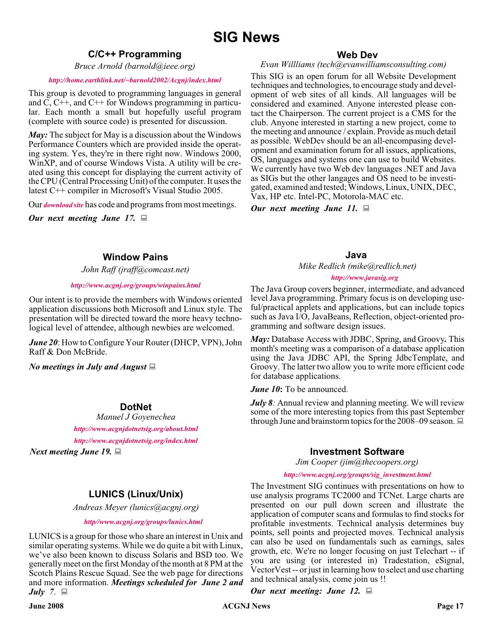#### **C/C++ Programming**

*Bruce Arnold (barnold@ieee.org)*

#### *<http://home.earthlink.net/~barnold2002/Acgnj/index.html>*

This group is devoted to programming languages in general and  $\dot{C}$ ,  $C++$ , and  $C++$  for Windows programming in particular. Each month a small but hopefully useful program (complete with source code) is presented for discussion.

*May:* The subject for May is a discussion about the Windows Performance Counters which are provided inside the operating system. Yes, they're in there right now. Windows 2000, WinXP, and of course Windows Vista. A utility will be created using this concept for displaying the current activity of the CPU (Central Processing Unit) of the computer. It uses the latest C++ compiler in Microsoft's Visual Studio 2005.

Our *[download site](http://home.earthlink.net/~barnold2002/Acgnj/Download.htm)* has code and programs from most meetings.

*Our next meeting June 17.*

#### **Window Pains**

*John Raff (jraff@comcast.net)*

#### *<http://www.acgnj.org/groups/winpains.html>*

Our intent is to provide the members with Windows oriented application discussions both Microsoft and Linux style. The presentation will be directed toward the more heavy technological level of attendee, although newbies are welcomed.

*June 20*: How to Configure Your Router (DHCP, VPN), John Raff & Don McBride.

*No meetings in July and August*

#### **DotNet**

*Manuel J Goyenechea <http://www.acgnjdotnetsig.org/about.html> <http://www.acgnjdotnetsig.org/index.html>*

*Next meeting June 19.*

#### **Web Dev**

#### *Evan Willliams (tech@evanwilliamsconsulting.com)*

This SIG is an open forum for all Website Development techniques and technologies, to encourage study and development of web sites of all kinds. All languages will be considered and examined. Anyone interested please contact the Chairperson. The current project is a CMS for the club. Anyone interested in starting a new project, come to the meeting and announce / explain. Provide as much detail as possible. WebDev should be an all-encompasing development and examination forum for all issues, applications, OS, languages and systems one can use to build Websites. We currently have two Web dev languages .NET and Java as SIGs but the other langages and OS need to be investigated, examined and tested; Windows, Linux, UNIX, DEC, Vax, HP etc. Intel-PC, Motorola-MAC etc.

*Our next meeting June 11.*

#### **Java**

*Mike Redlich (mike@redlich.net) <http://www.javasig.org>*

The Java Group covers beginner, intermediate, and advanced level Java programming. Primary focus is on developing useful/practical applets and applications, but can include topics such as Java I/O, JavaBeans, Reflection, object-oriented programming and software design issues.

*May:* Database Access with JDBC, Spring, and Groovy*.* This month's meeting was a comparison of a database application using the Java JDBC API, the Spring JdbcTemplate, and Groovy. The latter two allow you to write more efficient code for database applications.

*June 10***:** To be announced.

*July 8:* Annual review and planning meeting. We will review some of the more interesting topics from this past September through June and brainstorm topics for the 2008–09 season.  $\Box$ 

#### **Investment Software**

*Jim Cooper (jim@thecoopers.org)*

#### *[http://www.acgnj.org/groups/sig\\_investment.html](http://www.acgnj.org/groups/sig_investment.html)*

#### The Investment SIG continues with presentations on how to use analysis programs TC2000 and TCNet. Large charts are presented on our pull down screen and illustrate the application of computer scans and formulas to find stocks for profitable investments. Technical analysis determines buy points, sell points and projected moves. Technical analysis can also be used on fundamentals such as earnings, sales growth, etc. We're no longer focusing on just Telechart -- if you are using (or interested in) Tradestation, eSignal, VectorVest -- or just in learning how to select and use charting and technical analysis, come join us !!

*Our next meeting: June 12.*

**LUNICS (Linux/Unix)**

*Andreas Meyer (lunics@acgnj.org)*

*<http//www.acgnj.org/groups/lunics.html>*

LUNICS is a group for those who share an interest in Unix and similar operating systems. While we do quite a bit with Linux, we've also been known to discuss Solaris and BSD too. We generally meet on the first Monday of the month at 8 PM at the Scotch Plains Rescue Squad. See the web page for directions and more information. *Meetings scheduled for June 2 and July 7*.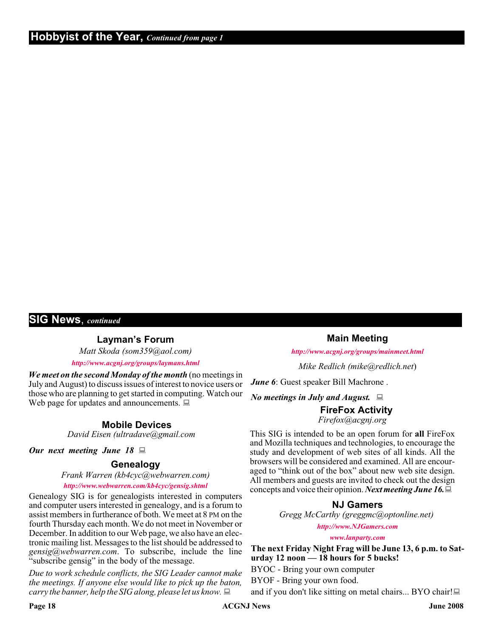#### **SIG News**, *continued*

**Layman's Forum**

*Matt Skoda (som359@aol.com)*

*<http://www.acgnj.org/groups/laymans.html>*

*We meet on the second Monday of the month* (no meetings in July and August) to discuss issues of interest to novice users or those who are planning to get started in computing. Watch our Web page for updates and announcements.  $\Box$ 

#### **Mobile Devices**

*David Eisen (ultradave@gmail.com*

#### *Our next meeting June 18*

### **Genealogy**

*Frank Warren (kb4cyc@webwarren.com)*

#### *<http://www.webwarren.com/kb4cyc/gensig.shtml>*

Genealogy SIG is for genealogists interested in computers and computer users interested in genealogy, and is a forum to assist members in furtherance of both. We meet at 8 PM on the fourth Thursday each month. We do not meet in November or December. In addition to our Web page, we also have an electronic mailing list. Messages to the list should be addressed to *gensig@webwarren.com*. To subscribe, include the line "subscribe gensig" in the body of the message.

*Due to work schedule conflicts, the SIG Leader cannot make the meetings. If anyone else would like to pick up the baton, carry the banner, help the SIG along, please let us know.*

**Main Meeting**

*<http://www.acgnj.org/groups/mainmeet.html>*

*Mike Redlich (mike@redlich.net*)

*June 6*: Guest speaker Bill Machrone.

*No meetings in July and August.*

#### **FireFox Activity**

*Firefox@acgnj.org*

This SIG is intended to be an open forum for **all** FireFox and Mozilla techniques and technologies, to encourage the study and development of web sites of all kinds. All the browsers will be considered and examined. All are encouraged to "think out of the box" about new web site design. All members and guests are invited to check out the design concepts and voice their opinion. *Next meeting June 16.*

#### **NJ Gamers**

*Gregg McCarthy (greggmc@optonline.net)*

*<http://www.NJGamers.com>*

*[www.lanparty.com](http://www.lanparty.com)*

**The next Friday Night Frag will be June 13, 6 p.m. to Saturday 12 noon — 18 hours for 5 bucks!**

BYOC - Bring your own computer

BYOF - Bring your own food.

and if you don't like sitting on metal chairs... BYO chair!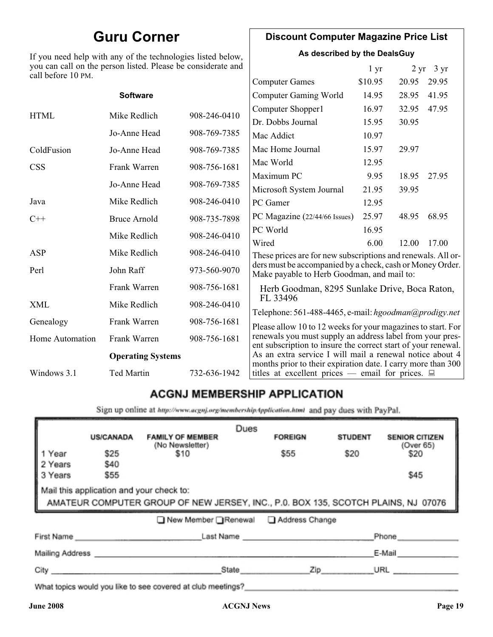# **Guru Corner**

If you need help with any of the technologies listed below, you can call on the person listed. Please be considerate and call before 10 PM.

### **Discount Computer Magazine Price List**

**As described by the DealsGuy**

 $1 \text{ yr}$   $2 \text{ yr}$   $3 \text{ yr}$ 

| call before 10 PM.     |                          |              | <b>Computer Games</b>                                                                                                                                                                      | \$10.95 | 20.95 | 29.95 |
|------------------------|--------------------------|--------------|--------------------------------------------------------------------------------------------------------------------------------------------------------------------------------------------|---------|-------|-------|
|                        | <b>Software</b>          |              | <b>Computer Gaming World</b>                                                                                                                                                               | 14.95   | 28.95 | 41.95 |
|                        |                          |              | Computer Shopper1                                                                                                                                                                          | 16.97   | 32.95 | 47.95 |
| <b>HTML</b>            | Mike Redlich             | 908-246-0410 | Dr. Dobbs Journal                                                                                                                                                                          | 15.95   | 30.95 |       |
|                        | Jo-Anne Head             | 908-769-7385 | Mac Addict                                                                                                                                                                                 | 10.97   |       |       |
| ColdFusion             | Jo-Anne Head             | 908-769-7385 | Mac Home Journal                                                                                                                                                                           | 15.97   | 29.97 |       |
| <b>CSS</b>             | Frank Warren             | 908-756-1681 | Mac World                                                                                                                                                                                  | 12.95   |       |       |
|                        |                          |              | Maximum PC                                                                                                                                                                                 | 9.95    | 18.95 | 27.95 |
|                        | Jo-Anne Head             | 908-769-7385 | Microsoft System Journal                                                                                                                                                                   | 21.95   | 39.95 |       |
| Java                   | Mike Redlich             | 908-246-0410 | PC Gamer                                                                                                                                                                                   | 12.95   |       |       |
| $C++$                  | <b>Bruce Arnold</b>      | 908-735-7898 | PC Magazine (22/44/66 Issues)                                                                                                                                                              | 25.97   | 48.95 | 68.95 |
|                        | Mike Redlich             | 908-246-0410 | PC World                                                                                                                                                                                   | 16.95   |       |       |
|                        |                          |              | Wired                                                                                                                                                                                      | 6.00    | 12.00 | 17.00 |
| ASP                    | Mike Redlich             | 908-246-0410 | These prices are for new subscriptions and renewals. All or-                                                                                                                               |         |       |       |
| Perl                   | John Raff                | 973-560-9070 | ders must be accompanied by a check, cash or Money Order.<br>Make payable to Herb Goodman, and mail to:                                                                                    |         |       |       |
|                        | Frank Warren             | 908-756-1681 | Herb Goodman, 8295 Sunlake Drive, Boca Raton,                                                                                                                                              |         |       |       |
| XML                    | Mike Redlich             | 908-246-0410 | FL 33496<br>Telephone: 561-488-4465, e-mail: hgoodman@prodigy.net                                                                                                                          |         |       |       |
| Genealogy              | Frank Warren             | 908-756-1681 |                                                                                                                                                                                            |         |       |       |
| <b>Home Automation</b> | Frank Warren             | 908-756-1681 | Please allow 10 to 12 weeks for your magazines to start. For<br>renewals you must supply an address label from your pres-<br>ent subscription to insure the correct start of your renewal. |         |       |       |
|                        | <b>Operating Systems</b> |              | As an extra service I will mail a renewal notice about 4                                                                                                                                   |         |       |       |
| Windows 3.1            | Ted Martin               | 732-636-1942 | months prior to their expiration date. I carry more than 300<br>titles at excellent prices — email for prices. $\Box$                                                                      |         |       |       |
|                        |                          |              |                                                                                                                                                                                            |         |       |       |

### **ACGNJ MEMBERSHIP APPLICATION**

Sign up online at http://www.acgnj.org/membershipApplication.html and pay dues with PayPal.

|                                                                                                                                                            | <b>US/CANADA</b>    | <b>FAMILY OF MEMBER</b>                                                                                                                                                                                                        | Dues      | <b>FOREIGN</b> | <b>STUDENT</b> | <b>SENIOR CITIZEN</b> |
|------------------------------------------------------------------------------------------------------------------------------------------------------------|---------------------|--------------------------------------------------------------------------------------------------------------------------------------------------------------------------------------------------------------------------------|-----------|----------------|----------------|-----------------------|
| 1 Year<br>2 Years                                                                                                                                          | \$25<br><b>\$40</b> | (No Newsletter)<br>\$10                                                                                                                                                                                                        |           | \$55           | \$20           | (Over 65)<br>\$20     |
| 3 Years                                                                                                                                                    | \$55                |                                                                                                                                                                                                                                |           |                |                | \$45                  |
| Mail this application and your check to:<br>AMATEUR COMPUTER GROUP OF<br>AMATEUR COMPUTER GROUP OF NEW JERSEY, INC., P.0. BOX 135, SCOTCH PLAINS, NJ 07076 |                     |                                                                                                                                                                                                                                |           |                |                |                       |
|                                                                                                                                                            |                     | □ New Member □ Renewal                                                                                                                                                                                                         |           | Address Change |                |                       |
| First Name                                                                                                                                                 |                     |                                                                                                                                                                                                                                | Last Name |                |                | Phone                 |
| Mailing Address                                                                                                                                            |                     |                                                                                                                                                                                                                                |           |                |                | E-Mail                |
| City                                                                                                                                                       |                     |                                                                                                                                                                                                                                | State     | Zip            |                | URL                   |
|                                                                                                                                                            |                     | the property of the property of the control of the control of the control of the control of the control of the control of the control of the control of the control of the control of the control of the control of the contro |           |                |                |                       |

What topics would you like to see covered at club meetings?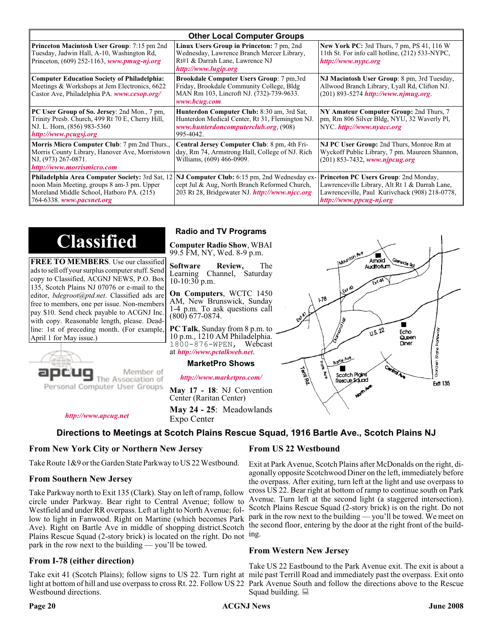| <b>Other Local Computer Groups</b>                                                                                                                         |                                                                                                                                                                                                              |                                                                                                                                                                      |  |  |  |
|------------------------------------------------------------------------------------------------------------------------------------------------------------|--------------------------------------------------------------------------------------------------------------------------------------------------------------------------------------------------------------|----------------------------------------------------------------------------------------------------------------------------------------------------------------------|--|--|--|
| Princeton Macintosh User Group: 7:15 pm 2nd<br>Tuesday, Jadwin Hall, A-10, Washington Rd,<br>Princeton, $(609)$ 252-1163, www.pmug-nj.org                  | Linux Users Group in Princeton: 7 pm, 2nd<br>Wednesday, Lawrence Branch Mercer Library,<br>Rt#1 & Darrah Lane, Lawrence NJ<br>http://www.lugip.org                                                           | <b>New York PC:</b> 3rd Thurs, 7 pm, PS 41, 116 W<br>11th St. For info call hotline, (212) 533-NYPC,<br>http://www.nypc.org                                          |  |  |  |
| <b>Computer Education Society of Philadelphia:</b><br>Meetings & Workshops at Jem Electronics, 6622<br>Castor Ave, Philadelphia PA. www.cesop.org/         | <b>Brookdale Computer Users Group:</b> 7 pm, 3rd<br>Friday, Brookdale Community College, Bldg<br>MAN Rm 103, Lincroft NJ. (732)-739-9633.<br>www.bcug.com                                                    | NJ Macintosh User Group: 8 pm, 3rd Tuesday,<br>Allwood Branch Library, Lyall Rd, Clifton NJ.<br>$(201) 893 - 5274$ http://www.njmug.org.                             |  |  |  |
| PC User Group of So. Jersey: 2nd Mon., 7 pm,<br>Trinity Presb. Church, 499 Rt 70 E, Cherry Hill,<br>NJ. L. Horn, (856) 983-5360<br>http://www.pcugsj.org   | Hunterdon Computer Club: 8:30 am, 3rd Sat,<br>Hunterdon Medical Center, Rt 31, Flemington NJ.<br>www.hunterdoncomputerclub.org. (908)<br>995-4042.                                                           | NY Amateur Computer Group: 2nd Thurs, 7<br>pm, Rm 806 Silver Bldg, NYU, 32 Waverly Pl,<br>NYC http://www.nyacc.org                                                   |  |  |  |
| <b>Morris Micro Computer Club:</b> 7 pm 2nd Thurs.,<br>Morris County Library, Hanover Ave, Morristown<br>NJ, (973) 267-0871.<br>http://www.morrismicro.com | Central Jersey Computer Club: 8 pm, 4th Fri-<br>day, Rm 74, Armstrong Hall, College of NJ. Rich<br>Williams, (609) 466-0909.                                                                                 | NJ PC User Group: 2nd Thurs, Monroe Rm at<br>Wyckoff Public Library, 7 pm. Maureen Shannon,<br>$(201)$ 853-7432, www.njpcug.org                                      |  |  |  |
| noon Main Meeting, groups 8 am-3 pm. Upper<br>Moreland Middle School, Hatboro PA. (215)<br>764-6338. www.pacsnet.org                                       | <b>Philadelphia Area Computer Society: 3rd Sat, 12 NJ Computer Club: 6:15 pm, 2nd Wednesday ex-</b><br>cept Jul & Aug, North Branch Reformed Church,<br>203 Rt 28, Bridgewater NJ <i>http://www.njcc.org</i> | Princeton PC Users Group: 2nd Monday,<br>Lawrenceville Library, Alt Rt 1 & Darrah Lane,<br>Lawrenceville, Paul Kurivchack (908) 218-0778,<br>http://www.ppcug-nj.org |  |  |  |

# **Classified**

**FREE TO MEMBERS**. Use our classified ads to sell off your surplus computer stuff. Send copy to Classified, ACGNJ NEWS, P.O. Box 135, Scotch Plains NJ 07076 or e-mail to the editor, *bdegroot@ptd.net*. Classified ads are free to members, one per issue. Non-members pay \$10. Send check payable to ACGNJ Inc. with copy. Reasonable length, please. Deadline: 1st of preceding month. (For example, April 1 for May issue.)



*<http://www.apcug.net>*

# Member of

#### **Radio and TV Programs**

**Computer Radio Show**, WBAI 99.5 FM, NY, Wed. 8-9 p.m.

**Software Review,** The Learning Channel, Saturday 10-10:30 p.m.

**On Computers**, WCTC 1450 AM, New Brunswick, Sunday 1-4 p.m. To ask questions call (800) 677-0874.

**PC Talk**, Sunday from 8 p.m. to 10 p.m., 1210 AM Philadelphia. 1800-876-WPEN, Webcast at *<http://www.pctalkweb.net>*.

#### **MarketPro Shows**

*<http://www.marketpro.com/>*

**May 17 - 18**: NJ Convention Center (Raritan Center)

**May 24 - 25**: Meadowlands Expo Center

#### **Directions to Meetings at Scotch Plains Rescue Squad, 1916 Bartle Ave., Scotch Plains NJ**

#### **From New York City or Northern New Jersey**

Take Route 1&9 or the Garden State Parkway to US 22 Westbound.

#### **From Southern New Jersey**

Take Parkway north to Exit 135 (Clark). Stay on left of ramp, follow circle under Parkway. Bear right to Central Avenue; follow to Westfield and under RR overpass. Left at light to North Avenue; follow to light in Fanwood. Right on Martine (which becomes Park Ave). Right on Bartle Ave in middle of shopping district.Scotch Plains Rescue Squad (2-story brick) is located on the right. Do not ing. park in the row next to the building — you'll be towed.

#### **From I-78 (either direction)**

Take exit 41 (Scotch Plains); follow signs to US 22. Turn right at mile past Terrill Road and immediately past the overpass. Exit onto light at bottom of hill and use overpass to cross Rt. 22. Follow US 22 Park Avenue South and follow the directions above to the Rescue Westbound directions.

#### **From US 22 Westbound**

اھ<br>ا

 $178$ 

Boyle Ave Г

Scotch Pigins

Rescue Sound

Exit at Park Avenue, Scotch Plains after McDonalds on the right, diagonally opposite Scotchwood Diner on the left, immediately before the overpass. After exiting, turn left at the light and use overpass to cross US 22. Bear right at bottom of ramp to continue south on Park Avenue. Turn left at the second light (a staggered intersection). Scotch Plains Rescue Squad (2-story brick) is on the right. Do not park in the row next to the building — you'll be towed. We meet on the second floor, entering by the door at the right front of the build-

 $\blacksquare$ Amold **Auditorium** 

 $\sqrt{15.22}$ 

Fcho

Queen Diner

Sorden State Parkw

**Frit 135** 

#### **From Western New Jersey**

Take US 22 Eastbound to the Park Avenue exit. The exit is about a Squad building.  $\Box$